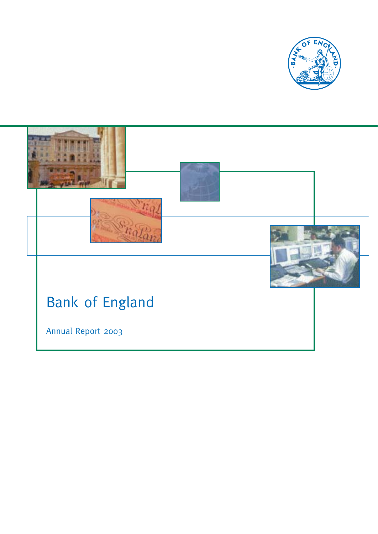

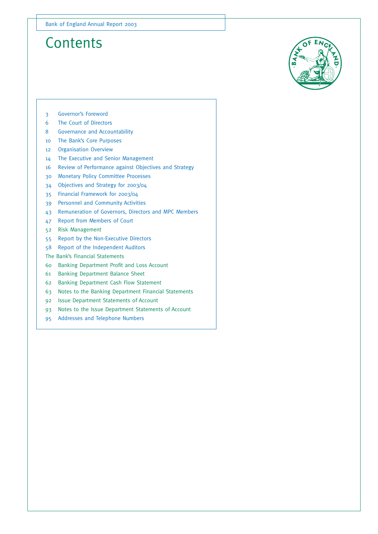### **Contents**



- 3 Governor's Foreword
- 6 The Court of Directors
- 8 Governance and Accountability
- 10 The Bank's Core Purposes
- 12 Organisation Overview
- 14 The Executive and Senior Management
- 16 Review of Performance against Objectives and Strategy
- 30 Monetary Policy Committee Processes
- 34 Objectives and Strategy for 2003/04
- 35 Financial Framework for 2003/04
- 39 Personnel and Community Activities
- 43 Remuneration of Governors, Directors and MPC Members
- 47 Report from Members of Court
- 52 Risk Management
- 55 Report by the Non-Executive Directors
- 58 Report of the Independent Auditors
- The Bank's Financial Statements
- 60 Banking Department Profit and Loss Account
- 61 Banking Department Balance Sheet
- 62 Banking Department Cash Flow Statement
- 63 Notes to the Banking Department Financial Statements
- 92 Issue Department Statements of Account
- 93 Notes to the Issue Department Statements of Account
- 95 Addresses and Telephone Numbers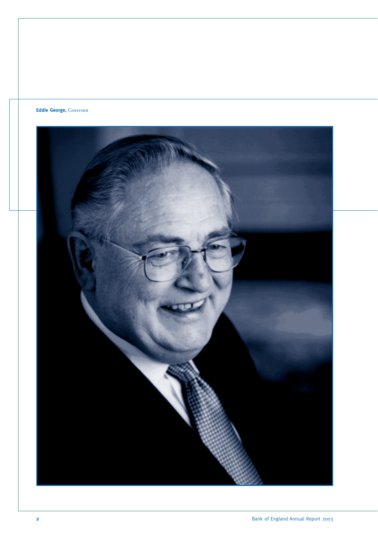### **Eddie George,** Governor

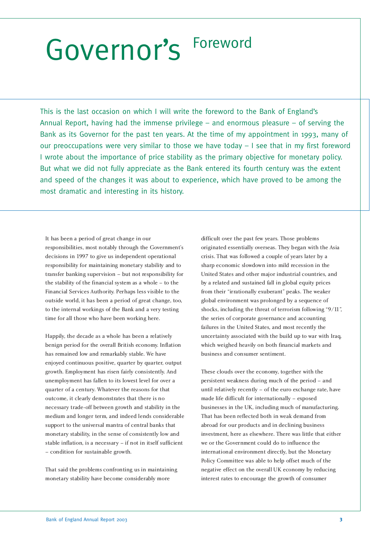# Governor's Foreword

This is the last occasion on which I will write the foreword to the Bank of England's Annual Report, having had the immense privilege – and enormous pleasure – of serving the Bank as its Governor for the past ten years. At the time of my appointment in 1993, many of our preoccupations were very similar to those we have today – I see that in my first foreword I wrote about the importance of price stability as the primary objective for monetary policy. But what we did not fully appreciate as the Bank entered its fourth century was the extent and speed of the changes it was about to experience, which have proved to be among the most dramatic and interesting in its history.

It has been a period of great change in our responsibilities, most notably through the Government's decisions in 1997 to give us independent operational responsibility for maintaining monetary stability and to transfer banking supervision – but not responsibility for the stability of the financial system as a whole – to the Financial Services Authority. Perhaps less visible to the outside world, it has been a period of great change, too, to the internal workings of the Bank and a very testing time for all those who have been working here.

Happily, the decade as a whole has been a relatively benign period for the overall British economy. Inflation has remained low and remarkably stable. We have enjoyed continuous positive, quarter by quarter, output growth. Employment has risen fairly consistently. And unemployment has fallen to its lowest level for over a quarter of a century. Whatever the reasons for that outcome, it clearly demonstrates that there is no necessary trade-off between growth and stability in the medium and longer term, and indeed lends considerable support to the universal mantra of central banks that monetary stability, in the sense of consistently low and stable inflation, is a necessary – if not in itself sufficient – condition for sustainable growth.

That said the problems confronting us in maintaining monetary stability have become considerably more

difficult over the past few years. Those problems originated essentially overseas. They began with the Asia crisis. That was followed a couple of years later by a sharp economic slowdown into mild recession in the United States and other major industrial countries, and by a related and sustained fall in global equity prices from their "irrationally exuberant" peaks. The weaker global environment was prolonged by a sequence of shocks, including the threat of terrorism following "9/11", the series of corporate governance and accounting failures in the United States, and most recently the uncertainty associated with the build up to war with Iraq, which weighed heavily on both financial markets and business and consumer sentiment.

These clouds over the economy, together with the persistent weakness during much of the period – and until relatively recently – of the euro exchange rate, have made life difficult for internationally – exposed businesses in the UK, including much of manufacturing. That has been reflected both in weak demand from abroad for our products and in declining business investment, here as elsewhere. There was little that either we or the Government could do to influence the international environment directly, but the Monetary Policy Committee was able to help offset much of the negative effect on the overall UK economy by reducing interest rates to encourage the growth of consumer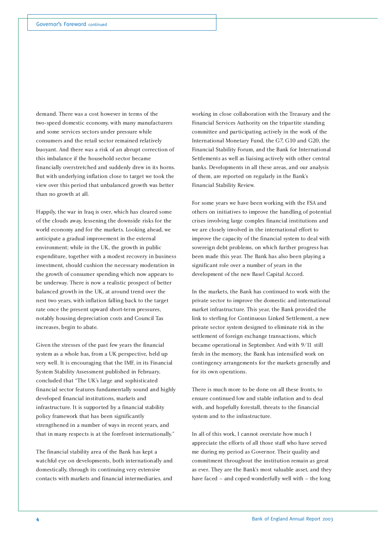demand. There was a cost however in terms of the two-speed domestic economy, with many manufacturers and some services sectors under pressure while consumers and the retail sector remained relatively buoyant. And there was a risk of an abrupt correction of this imbalance if the household sector became financially overstretched and suddenly drew in its horns. But with underlying inflation close to target we took the view over this period that unbalanced growth was better than no growth at all.

Happily, the war in Iraq is over, which has cleared some of the clouds away, lessening the downside risks for the world economy and for the markets. Looking ahead, we anticipate a gradual improvement in the external environment; while in the UK, the growth in public expenditure, together with a modest recovery in business investment, should cushion the necessary moderation in the growth of consumer spending which now appears to be underway. There is now a realistic prospect of better balanced growth in the UK, at around trend over the next two years, with inflation falling back to the target rate once the present upward short-term pressures, notably housing depreciation costs and Council Tax increases, begin to abate.

Given the stresses of the past few years the financial system as a whole has, from a UK perspective, held up very well. It is encouraging that the IMF, in its Financial System Stability Assessment published in February, concluded that "The UK's large and sophisticated financial sector features fundamentally sound and highly developed financial institutions, markets and infrastructure. It is supported by a financial stability policy framework that has been significantly strengthened in a number of ways in recent years, and that in many respects is at the forefront internationally."

The financial stability area of the Bank has kept a watchful eye on developments, both internationally and domestically, through its continuing very extensive contacts with markets and financial intermediaries, and

working in close collaboration with the Treasury and the Financial Services Authority on the tripartite standing committee and participating actively in the work of the International Monetary Fund, the G7, G10 and G20, the Financial Stability Forum, and the Bank for International Settlements as well as liaising actively with other central banks. Developments in all these areas, and our analysis of them, are reported on regularly in the Bank's Financial Stability Review.

For some years we have been working with the FSA and others on initiatives to improve the handling of potential crises involving large complex financial institutions and we are closely involved in the international effort to improve the capacity of the financial system to deal with sovereign debt problems, on which further progress has been made this year. The Bank has also been playing a significant role over a number of years in the development of the new Basel Capital Accord.

In the markets, the Bank has continued to work with the private sector to improve the domestic and international market infrastructure. This year, the Bank provided the link to sterling for Continuous Linked Settlement, a new private sector system designed to eliminate risk in the settlement of foreign exchange transactions, which became operational in September. And with 9/11 still fresh in the memory, the Bank has intensified work on contingency arrangements for the markets generally and for its own operations.

There is much more to be done on all these fronts, to ensure continued low and stable inflation and to deal with, and hopefully forestall, threats to the financial system and to the infrastructure.

In all of this work, I cannot overstate how much I appreciate the efforts of all those staff who have served me during my period as Governor. Their quality and commitment throughout the institution remain as great as ever. They are the Bank's most valuable asset, and they have faced – and coped wonderfully well with – the long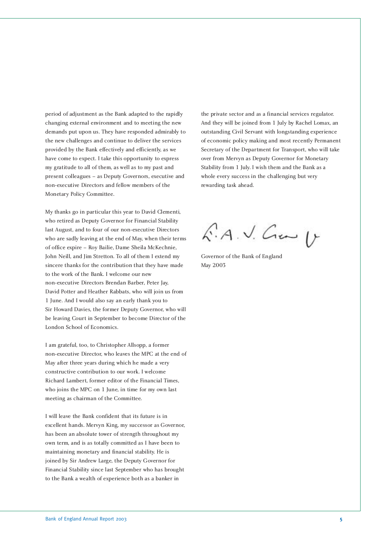period of adjustment as the Bank adapted to the rapidly changing external environment and to meeting the new demands put upon us. They have responded admirably to the new challenges and continue to deliver the services provided by the Bank effectively and efficiently, as we have come to expect. I take this opportunity to express my gratitude to all of them, as well as to my past and present colleagues – as Deputy Governors, executive and non-executive Directors and fellow members of the Monetary Policy Committee.

My thanks go in particular this year to David Clementi, who retired as Deputy Governor for Financial Stability last August, and to four of our non-executive Directors who are sadly leaving at the end of May, when their terms of office expire – Roy Bailie, Dame Sheila McKechnie, John Neill, and Jim Stretton. To all of them I extend my sincere thanks for the contribution that they have made to the work of the Bank. I welcome our new non-executive Directors Brendan Barber, Peter Jay, David Potter and Heather Rabbats, who will join us from 1 June. And I would also say an early thank you to Sir Howard Davies, the former Deputy Governor, who will be leaving Court in September to become Director of the London School of Economics.

I am grateful, too, to Christopher Allsopp, a former non-executive Director, who leaves the MPC at the end of May after three years during which he made a very constructive contribution to our work. I welcome Richard Lambert, former editor of the Financial Times, who joins the MPC on 1 June, in time for my own last meeting as chairman of the Committee.

I will leave the Bank confident that its future is in excellent hands. Mervyn King, my successor as Governor, has been an absolute tower of strength throughout my own term, and is as totally committed as I have been to maintaining monetary and financial stability. He is joined by Sir Andrew Large, the Deputy Governor for Financial Stability since last September who has brought to the Bank a wealth of experience both as a banker in

the private sector and as a financial services regulator. And they will be joined from 1 July by Rachel Lomax, an outstanding Civil Servant with longstanding experience of economic policy making and most recently Permanent Secretary of the Department for Transport, who will take over from Mervyn as Deputy Governor for Monetary Stability from 1 July. I wish them and the Bank as a whole every success in the challenging but very rewarding task ahead.

 $6.4.1.$  Cm  $\mu$ 

Governor of the Bank of England May 2003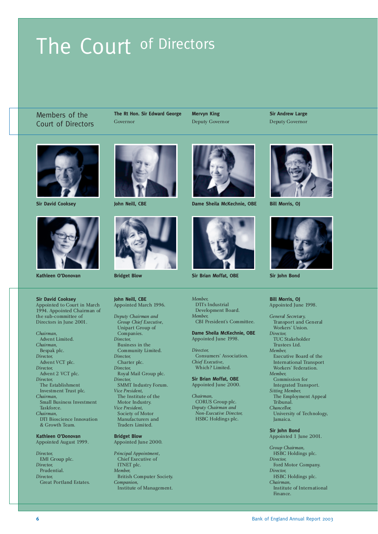# The Court of Directors

Members of the Court of Directors **The Rt Hon. Sir Edward George** Governor

**Mervyn King** Deputy Governor **Sir Andrew Large** Deputy Governor





Kathleen O'Donovan **Bridget Blow** Bridget Blow Sir Brian Moffat, OBE

**Sir David Cooksey** Appointed to Court in March 1994. Appointed Chairman of the sub-committee of Directors in June 2001.

*Chairman,* Advent Limited. *Chairman,* Bespak plc. *Director,* Advent VCT plc. *Director,* Advent 2 VCT plc. *Director,* The Establishment Investment Trust plc. *Chairman,* Small Business Investment Taskforce. *Chairman,* DTI Bioscience Innovation & Growth Team.

**Kathleen O'Donovan** Appointed August 1999.

*Director,* EMI Group plc. *Director,* Prudential. *Director,* Great Portland Estates.





**John Neill, CBE** Appointed March 1996.

*Deputy Chairman and Group Chief Executive,* Unipart Group of Companies. *Director,* Business in the Community Limited. *Director,* Charter plc. *Director,* Royal Mail Group plc. *Director,* SMMT Industry Forum. *Vice President,* The Institute of the Motor Industry. *Vice President,* Society of Motor Manufacturers and Traders Limited.

**Bridget Blow** Appointed June 2000.

*Principal Appointment,* Chief Executive of ITNET plc. *Member,* British Computer Society. *Companion,* Institute of Management.



**Sir David Cooksey 19th Sir Dame Sheila McKechnie, OBE Bill Morris, OJ** 



*Member,* DTI's Industrial Development Board. *Member,* CBI President's Committee.

### **Dame Sheila McKechnie, OBE** Appointed June 1998.

*Director,* Consumers' Association. *Chief Executive,* Which? Limited.

**Sir Brian Moffat, OBE** Appointed June 2000.

*Chairman,* CORUS Group plc. *Deputy Chairman and Non-Executive Director,* HSBC Holdings plc.





**Sir John Bond**

### **Bill Morris, OJ** Appointed June 1998.

- *General Secretary,* Transport and General Workers' Union. *Director,*
- TUC Stakeholder
- Trustees Ltd.
- *Member,*
- Executive Board of the International Transport
- Workers' Federation.
- *Member,*
- Commission for
- Integrated Transport. *Sitting Member,*
- The Employment Appeal Tribunal. *Chancellor,*
	-
- University of Technology, Jamaica.

### **Sir John Bond**

Appointed 1 June 2001.

*Group Chairman,* HSBC Holdings plc. *Director,* Ford Motor Company. *Director,* HSBC Holdings plc. *Chairman,* Institute of International Finance.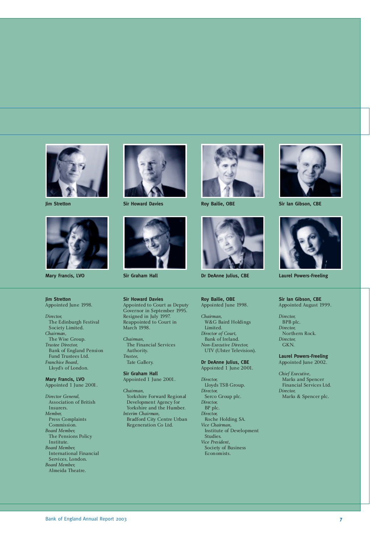



### **Jim Stretton** Appointed June 1998.

*Director,* The Edinburgh Festival Society Limited. *Chairman,* The Wise Group. *Trustee Director,* Bank of England Pension Fund Trustees Ltd. *Franchise Board,* Lloyd's of London.

**Mary Francis, LVO** Appointed 1 June 2001.

*Director General,* Association of British Insurers. *Member,* Press Complaints Commission. *Board Member,* The Pensions Policy Institute. *Board Member,* International Financial Services, London. *Board Member,* Almeida Theatre.



**Jim Stretton Sir Howard Davies Roy Bailie, OBE Sir Ian Gibson, CBE** 



**Sir Howard Davies** Appointed to Court as Deputy Governor in September 1995. Resigned in July 1997. Reappointed to Court in March 1998.

*Chairman,* The Financial Services Authority. *Trustee,* Tate Gallery.

**Sir Graham Hall** Appointed 1 June 2001.

*Chairman,* Yorkshire Forward Regional Development Agency for Yorkshire and the Humber. *Interim Chairman,* Bradford City Centre Urban Regeneration Co Ltd.





**Mary Francis, LVO Sir Graham Hall Dr DeAnne Julius, CBE Laurel Powers-Freeling**

**Roy Bailie, OBE** Appointed June 1998.

*Chairman,* W&G Baird Holdings Limited. *Director of Court,* Bank of Ireland. *Non-Executive Director,* UTV (Ulster Television).

**Dr DeAnne Julius, CBE** Appointed 1 June 2001.

*Director,* Lloyds TSB Group. *Director,* Serco Group plc. *Director,* BP plc. *Director,* Roche Holding SA. *Vice Chairman,* Institute of Development Studies. *Vice President,* Society of Business Economists.





**Sir Ian Gibson, CBE** Appointed August 1999.

*Director,* BPB plc. *Director,* Northern Rock. *Director,* GKN.

**Laurel Powers-Freeling** Appointed June 2002.

*Chief Executive,* Marks and Spencer Financial Services Ltd. *Director,* Marks & Spencer plc.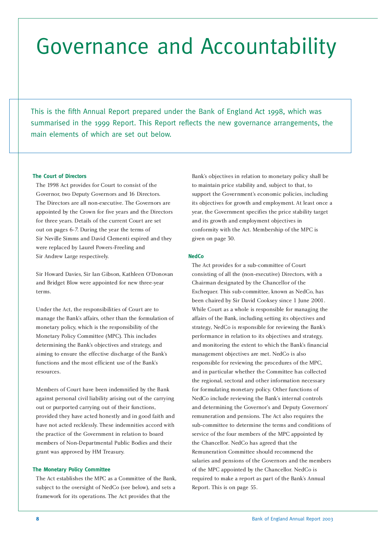# Governance and Accountability

This is the fifth Annual Report prepared under the Bank of England Act 1998, which was summarised in the 1999 Report. This Report reflects the new governance arrangements, the main elements of which are set out below.

### **The Court of Directors**

The 1998 Act provides for Court to consist of the Governor, two Deputy Governors and 16 Directors. The Directors are all non-executive. The Governors are appointed by the Crown for five years and the Directors for three years. Details of the current Court are set out on pages 6-7. During the year the terms of Sir Neville Simms and David Clementi expired and they were replaced by Laurel Powers-Freeling and Sir Andrew Large respectively.

Sir Howard Davies, Sir Ian Gibson, Kathleen O'Donovan and Bridget Blow were appointed for new three-year terms.

Under the Act, the responsibilities of Court are to manage the Bank's affairs, other than the formulation of monetary policy, which is the responsibility of the Monetary Policy Committee (MPC). This includes determining the Bank's objectives and strategy, and aiming to ensure the effective discharge of the Bank's functions and the most efficient use of the Bank's resources.

Members of Court have been indemnified by the Bank against personal civil liability arising out of the carrying out or purported carrying out of their functions, provided they have acted honestly and in good faith and have not acted recklessly. These indemnities accord with the practice of the Government in relation to board members of Non-Departmental Public Bodies and their grant was approved by HM Treasury.

### **The Monetary Policy Committee**

The Act establishes the MPC as a Committee of the Bank, subject to the oversight of NedCo (see below), and sets a framework for its operations. The Act provides that the

Bank's objectives in relation to monetary policy shall be to maintain price stability and, subject to that, to support the Government's economic policies, including its objectives for growth and employment. At least once a year, the Government specifies the price stability target and its growth and employment objectives in conformity with the Act. Membership of the MPC is given on page 30.

### **NedCo**

The Act provides for a sub-committee of Court consisting of all the (non-executive) Directors, with a Chairman designated by the Chancellor of the Exchequer. This sub-committee, known as NedCo, has been chaired by Sir David Cooksey since 1 June 2001. While Court as a whole is responsible for managing the affairs of the Bank, including setting its objectives and strategy, NedCo is responsible for reviewing the Bank's performance in relation to its objectives and strategy, and monitoring the extent to which the Bank's financial management objectives are met. NedCo is also responsible for reviewing the procedures of the MPC, and in particular whether the Committee has collected the regional, sectoral and other information necessary for formulating monetary policy. Other functions of NedCo include reviewing the Bank's internal controls and determining the Governor's and Deputy Governors' remuneration and pensions. The Act also requires the sub-committee to determine the terms and conditions of service of the four members of the MPC appointed by the Chancellor. NedCo has agreed that the Remuneration Committee should recommend the salaries and pensions of the Governors and the members of the MPC appointed by the Chancellor. NedCo is required to make a report as part of the Bank's Annual Report. This is on page 55.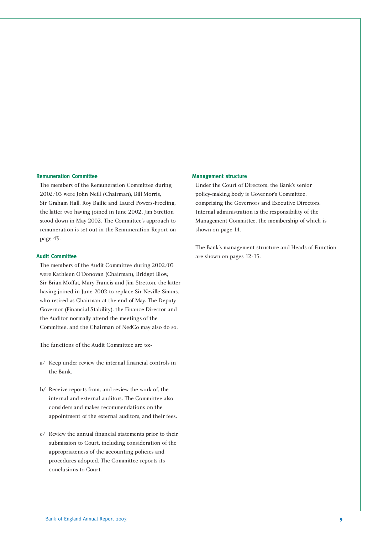### **Remuneration Committee**

The members of the Remuneration Committee during 2002/03 were John Neill (Chairman), Bill Morris, Sir Graham Hall, Roy Bailie and Laurel Powers-Freeling, the latter two having joined in June 2002. Jim Stretton stood down in May 2002. The Committee's approach to remuneration is set out in the Remuneration Report on page 43.

### **Audit Committee**

The members of the Audit Committee during 2002/03 were Kathleen O'Donovan (Chairman), Bridget Blow, Sir Brian Moffat, Mary Francis and Jim Stretton, the latter having joined in June 2002 to replace Sir Neville Simms, who retired as Chairman at the end of May. The Deputy Governor (Financial Stability), the Finance Director and the Auditor normally attend the meetings of the Committee, and the Chairman of NedCo may also do so.

The functions of the Audit Committee are to:-

- a/ Keep under review the internal financial controls in the Bank.
- b/ Receive reports from, and review the work of, the internal and external auditors. The Committee also considers and makes recommendations on the appointment of the external auditors, and their fees.
- c/ Review the annual financial statements prior to their submission to Court, including consideration of the appropriateness of the accounting policies and procedures adopted. The Committee reports its conclusions to Court.

### **Management structure**

Under the Court of Directors, the Bank's senior policy-making body is Governor's Committee, comprising the Governors and Executive Directors. Internal administration is the responsibility of the Management Committee, the membership of which is shown on page 14.

The Bank's management structure and Heads of Function are shown on pages 12-15.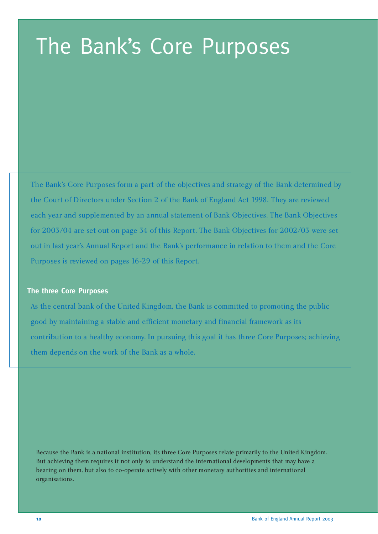# The Bank's Core Purposes

The Bank's Core Purposes form a part of the objectives and strategy of the Bank determined by the Court of Directors under Section 2 of the Bank of England Act 1998. They are reviewed each year and supplemented by an annual statement of Bank Objectives. The Bank Objectives for 2003/04 are set out on page 34 of this Report. The Bank Objectives for 2002/03 were set out in last year's Annual Report and the Bank's performance in relation to them and the Core Purposes is reviewed on pages 16-29 of this Report.

### **The three Core Purposes**

As the central bank of the United Kingdom, the Bank is committed to promoting the public good by maintaining a stable and efficient monetary and financial framework as its contribution to a healthy economy. In pursuing this goal it has three Core Purposes; achieving them depends on the work of the Bank as a whole.

Because the Bank is a national institution, its three Core Purposes relate primarily to the United Kingdom. But achieving them requires it not only to understand the international developments that may have a bearing on them, but also to co-operate actively with other monetary authorities and international organisations.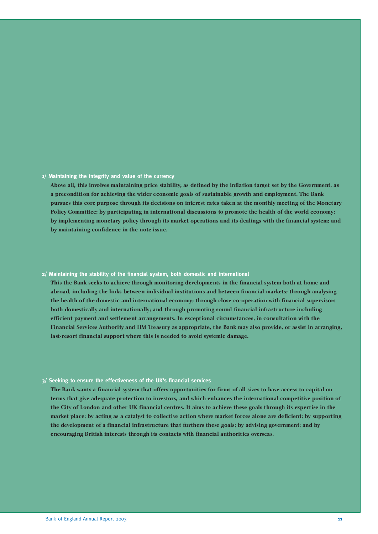### **1/ Maintaining the integrity and value of the currency**

**Above all, this involves maintaining price stability, as defined by the inflation target set by the Government, as a precondition for achieving the wider economic goals of sustainable growth and employment. The Bank pursues this core purpose through its decisions on interest rates taken at the monthly meeting of the Monetary Policy Committee; by participating in international discussions to promote the health of the world economy; by implementing monetary policy through its market operations and its dealings with the financial system; and by maintaining confidence in the note issue.**

### **2/ Maintaining the stability of the financial system, both domestic and international**

**This the Bank seeks to achieve through monitoring developments in the financial system both at home and abroad, including the links between individual institutions and between financial markets; through analysing the health of the domestic and international economy; through close co-operation with financial supervisors both domestically and internationally; and through promoting sound financial infrastructure including efficient payment and settlement arrangements. In exceptional circumstances, in consultation with the Financial Services Authority and HM Treasury as appropriate, the Bank may also provide, or assist in arranging, last-resort financial support where this is needed to avoid systemic damage.**

### **3/ Seeking to ensure the effectiveness of the UK's financial services**

**The Bank wants a financial system that offers opportunities for firms of all sizes to have access to capital on terms that give adequate protection to investors, and which enhances the international competitive position of the City of London and other UK financial centres. It aims to achieve these goals through its expertise in the market place; by acting as a catalyst to collective action where market forces alone are deficient; by supporting the development of a financial infrastructure that furthers these goals; by advising government; and by encouraging British interests through its contacts with financial authorities overseas.**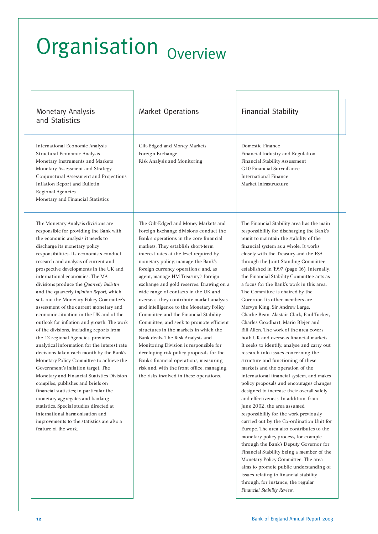# Organisation <sub>Overview</sub>

| <b>Monetary Analysis</b><br>and Statistics                                                                                                                                                                                                                                                                                                                                                                                                                                                                                                                                                                                                                                                                                                                                                                                                                                                                                                                                                                                                                                                                                                                                        | Market Operations                                                                                                                                                                                                                                                                                                                                                                                                                                                                                                                                                                                                                                                                                                                                                                                                                                                                                       | <b>Financial Stability</b>                                                                                                                                                                                                                                                                                                                                                                                                                                                                                                                                                                                                                                                                                                                                                                                                                                                                                                                                                                                                                                                                                                                                                                                                                                                                                                                                                                                                                                                                                                          |  |
|-----------------------------------------------------------------------------------------------------------------------------------------------------------------------------------------------------------------------------------------------------------------------------------------------------------------------------------------------------------------------------------------------------------------------------------------------------------------------------------------------------------------------------------------------------------------------------------------------------------------------------------------------------------------------------------------------------------------------------------------------------------------------------------------------------------------------------------------------------------------------------------------------------------------------------------------------------------------------------------------------------------------------------------------------------------------------------------------------------------------------------------------------------------------------------------|---------------------------------------------------------------------------------------------------------------------------------------------------------------------------------------------------------------------------------------------------------------------------------------------------------------------------------------------------------------------------------------------------------------------------------------------------------------------------------------------------------------------------------------------------------------------------------------------------------------------------------------------------------------------------------------------------------------------------------------------------------------------------------------------------------------------------------------------------------------------------------------------------------|-------------------------------------------------------------------------------------------------------------------------------------------------------------------------------------------------------------------------------------------------------------------------------------------------------------------------------------------------------------------------------------------------------------------------------------------------------------------------------------------------------------------------------------------------------------------------------------------------------------------------------------------------------------------------------------------------------------------------------------------------------------------------------------------------------------------------------------------------------------------------------------------------------------------------------------------------------------------------------------------------------------------------------------------------------------------------------------------------------------------------------------------------------------------------------------------------------------------------------------------------------------------------------------------------------------------------------------------------------------------------------------------------------------------------------------------------------------------------------------------------------------------------------------|--|
| International Economic Analysis<br>Structural Economic Analysis<br>Monetary Instruments and Markets<br>Monetary Assessment and Strategy<br>Conjunctural Assessment and Projections<br>Inflation Report and Bulletin<br>Regional Agencies<br>Monetary and Financial Statistics                                                                                                                                                                                                                                                                                                                                                                                                                                                                                                                                                                                                                                                                                                                                                                                                                                                                                                     | Gilt-Edged and Money Markets<br>Foreign Exchange<br>Risk Analysis and Monitoring                                                                                                                                                                                                                                                                                                                                                                                                                                                                                                                                                                                                                                                                                                                                                                                                                        | Domestic Finance<br>Financial Industry and Regulation<br>Financial Stability Assessment<br>G10 Financial Surveillance<br><b>International Finance</b><br>Market Infrastructure                                                                                                                                                                                                                                                                                                                                                                                                                                                                                                                                                                                                                                                                                                                                                                                                                                                                                                                                                                                                                                                                                                                                                                                                                                                                                                                                                      |  |
| The Monetary Analysis divisions are<br>responsible for providing the Bank with<br>the economic analysis it needs to<br>discharge its monetary policy<br>responsibilities. Its economists conduct<br>research and analysis of current and<br>prospective developments in the UK and<br>international economies. The MA<br>divisions produce the Quarterly Bulletin<br>and the quarterly Inflation Report, which<br>sets out the Monetary Policy Committee's<br>assessment of the current monetary and<br>economic situation in the UK and of the<br>outlook for inflation and growth. The work<br>of the divisions, including reports from<br>the 12 regional Agencies, provides<br>analytical information for the interest rate<br>decisions taken each month by the Bank's<br>Monetary Policy Committee to achieve the<br>Government's inflation target. The<br>Monetary and Financial Statistics Division<br>compiles, publishes and briefs on<br>financial statistics; in particular the<br>monetary aggregates and banking<br>statistics. Special studies directed at<br>international harmonisation and<br>improvements to the statistics are also a<br>feature of the work. | The Gilt-Edged and Money Markets and<br>Foreign Exchange divisions conduct the<br>Bank's operations in the core financial<br>markets. They establish short-term<br>interest rates at the level required by<br>monetary policy; manage the Bank's<br>foreign currency operations; and, as<br>agent, manage HM Treasury's foreign<br>exchange and gold reserves. Drawing on a<br>wide range of contacts in the UK and<br>overseas, they contribute market analysis<br>and intelligence to the Monetary Policy<br>Committee and the Financial Stability<br>Committee, and seek to promote efficient<br>structures in the markets in which the<br>Bank deals. The Risk Analysis and<br>Monitoring Division is responsible for<br>developing risk policy proposals for the<br>Bank's financial operations, measuring<br>risk and, with the front office, managing<br>the risks involved in these operations. | The Financial Stability area has the main<br>responsibility for discharging the Bank's<br>remit to maintain the stability of the<br>financial system as a whole. It works<br>closely with the Treasury and the FSA<br>through the Joint Standing Committee<br>established in 1997 (page 16). Internally,<br>the Financial Stability Committee acts as<br>a focus for the Bank's work in this area.<br>The Committee is chaired by the<br>Governor. Its other members are<br>Mervyn King, Sir Andrew Large,<br>Charlie Bean, Alastair Clark, Paul Tucker,<br>Charles Goodhart, Mario Blejer and<br>Bill Allen. The work of the area covers<br>both UK and overseas financial markets.<br>It seeks to identify, analyse and carry out<br>research into issues concerning the<br>structure and functioning of these<br>markets and the operation of the<br>international financial system, and makes<br>policy proposals and encourages changes<br>designed to increase their overall safety<br>and effectiveness. In addition, from<br>June 2002, the area assumed<br>responsibility for the work previously<br>carried out by the Co-ordination Unit for<br>Europe. The area also contributes to the<br>monetary policy process, for example<br>through the Bank's Deputy Governor for<br>Financial Stability being a member of the<br>Monetary Policy Committee. The area<br>aims to promote public understanding of<br>issues relating to financial stability<br>through, for instance, the regular<br>Financial Stability Review. |  |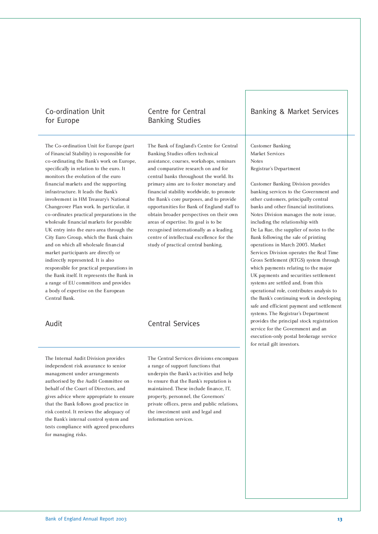### Co-ordination Unit for Europe

### Centre for Central Banking Studies

The Co-ordination Unit for Europe (part of Financial Stability) is responsible for co-ordinating the Bank's work on Europe, specifically in relation to the euro. It monitors the evolution of the euro financial markets and the supporting infrastructure. It leads the Bank's involvement in HM Treasury's National Changeover Plan work. In particular, it co-ordinates practical preparations in the wholesale financial markets for possible UK entry into the euro area through the City Euro Group, which the Bank chairs and on which all wholesale financial market participants are directly or indirectly represented. It is also responsible for practical preparations in the Bank itself. It represents the Bank in a range of EU committees and provides a body of expertise on the European Central Bank.

The Internal Audit Division provides independent risk assurance to senior management under arrangements authorised by the Audit Committee on behalf of the Court of Directors, and gives advice where appropriate to ensure that the Bank follows good practice in risk control. It reviews the adequacy of the Bank's internal control system and tests compliance with agreed procedures for managing risks.

The Bank of England's Centre for Central Banking Studies offers technical assistance, courses, workshops, seminars and comparative research on and for central banks throughout the world. Its primary aims are to foster monetary and financial stability worldwide, to promote the Bank's core purposes, and to provide opportunities for Bank of England staff to obtain broader perspectives on their own areas of expertise. Its goal is to be recognised internationally as a leading centre of intellectual excellence for the study of practical central banking.

### Audit Central Services

The Central Services divisions encompass a range of support functions that underpin the Bank's activities and help to ensure that the Bank's reputation is maintained. These include finance, IT, property, personnel, the Governors' private offices, press and public relations, the investment unit and legal and information services.

### Banking & Market Services

Customer Banking Market Services Notes Registrar's Department

Customer Banking Division provides banking services to the Government and other customers, principally central banks and other financial institutions. Notes Division manages the note issue, including the relationship with De La Rue, the supplier of notes to the Bank following the sale of printing operations in March 2003. Market Services Division operates the Real Time Gross Settlement (RTGS) system through which payments relating to the major UK payments and securities settlement systems are settled and, from this operational role, contributes analysis to the Bank's continuing work in developing safe and efficient payment and settlement systems. The Registrar's Department provides the principal stock registration service for the Government and an execution-only postal brokerage service for retail gilt investors.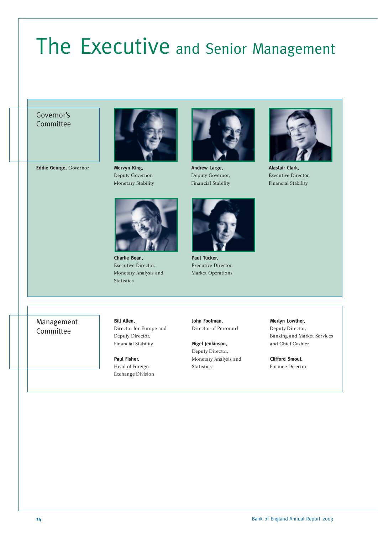# The Executive and Senior Management

### Governor's Committee

**Eddie George,** Governor



**Mervyn King,** Deputy Governor, Monetary Stability



**Charlie Bean,** Executive Director, Monetary Analysis and Statistics



**Andrew Large,** Deputy Governor, Financial Stability



**Paul Tucker,** Executive Director, Market Operations



**Alastair Clark,** Executive Director, Financial Stability

Management Committee

**Bill Allen,** Director for Europe and Deputy Director, Financial Stability

**Paul Fisher,** Head of Foreign Exchange Division **John Footman,** Director of Personnel

**Nigel Jenkinson,** Deputy Director, Monetary Analysis and Statistics

**Merlyn Lowther,**

Deputy Director, Banking and Market Services and Chief Cashier

**Clifford Smout,** Finance Director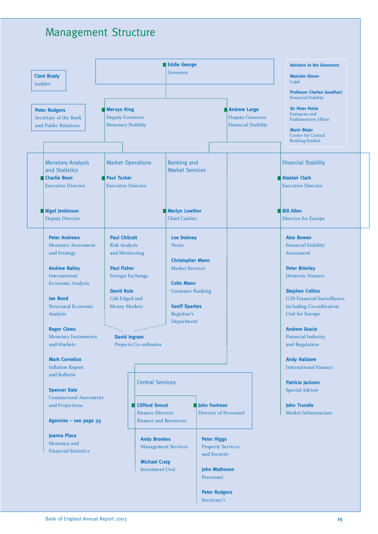### Management Structure

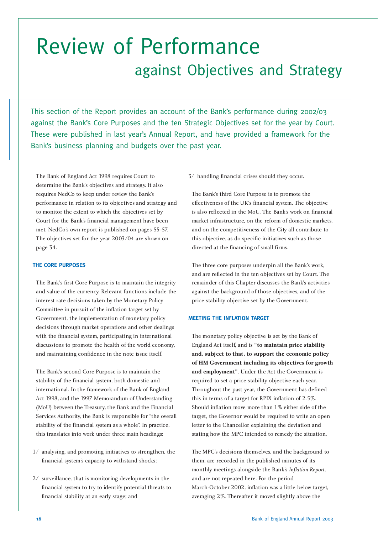## Review of Performance against Objectives and Strategy

This section of the Report provides an account of the Bank's performance during 2002/03 against the Bank's Core Purposes and the ten Strategic Objectives set for the year by Court. These were published in last year's Annual Report, and have provided a framework for the Bank's business planning and budgets over the past year.

The Bank of England Act 1998 requires Court to determine the Bank's objectives and strategy. It also requires NedCo to keep under review the Bank's performance in relation to its objectives and strategy and to monitor the extent to which the objectives set by Court for the Bank's financial management have been met. NedCo's own report is published on pages 55-57. The objectives set for the year 2003/04 are shown on page 34.

### **THE CORE PURPOSES**

The Bank's first Core Purpose is to maintain the integrity and value of the currency. Relevant functions include the interest rate decisions taken by the Monetary Policy Committee in pursuit of the inflation target set by Government, the implementation of monetary policy decisions through market operations and other dealings with the financial system, participating in international discussions to promote the health of the world economy, and maintaining confidence in the note issue itself.

The Bank's second Core Purpose is to maintain the stability of the financial system, both domestic and international. In the framework of the Bank of England Act 1998, and the 1997 Memorandum of Understanding (MoU) between the Treasury, the Bank and the Financial Services Authority, the Bank is responsible for "the overall stability of the financial system as a whole". In practice, this translates into work under three main headings:

- 1/ analysing, and promoting initiatives to strengthen, the financial system's capacity to withstand shocks;
- 2/ surveillance, that is monitoring developments in the financial system to try to identify potential threats to financial stability at an early stage; and

3/ handling financial crises should they occur.

The Bank's third Core Purpose is to promote the effectiveness of the UK's financial system. The objective is also reflected in the MoU. The Bank's work on financial market infrastructure, on the reform of domestic markets, and on the competitiveness of the City all contribute to this objective, as do specific initiatives such as those directed at the financing of small firms.

The three core purposes underpin all the Bank's work, and are reflected in the ten objectives set by Court. The remainder of this Chapter discusses the Bank's activities against the background of those objectives, and of the price stability objective set by the Government.

### **MEETING THE INFLATION TARGET**

The monetary policy objective is set by the Bank of England Act itself, and is **"to maintain price stability and, subject to that, to support the economic policy of HM Government including its objectives for growth and employment"**. Under the Act the Government is required to set a price stability objective each year. Throughout the past year, the Government has defined this in terms of a target for RPIX inflation of 2.5%. Should inflation move more than 1% either side of the target, the Governor would be required to write an open letter to the Chancellor explaining the deviation and stating how the MPC intended to remedy the situation.

The MPC's decisions themselves, and the background to them, are recorded in the published minutes of its monthly meetings alongside the Bank's *Inflation Report*, and are not repeated here. For the period March-October 2002, inflation was a little below target, averaging 2%. Thereafter it moved slightly above the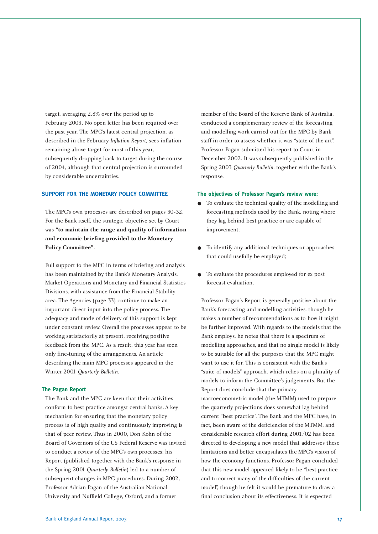target, averaging 2.8% over the period up to February 2003. No open letter has been required over the past year. The MPC's latest central projection, as described in the February *Inflation Report*, sees inflation remaining above target for most of this year, subsequently dropping back to target during the course of 2004, although that central projection is surrounded by considerable uncertainties.

### **SUPPORT FOR THE MONETARY POLICY COMMITTEE**

The MPC's own processes are described on pages 30-32. For the Bank itself, the strategic objective set by Court was **"to maintain the range and quality of information and economic briefing provided to the Monetary Policy Committee"**.

Full support to the MPC in terms of briefing and analysis has been maintained by the Bank's Monetary Analysis, Market Operations and Monetary and Financial Statistics Divisions, with assistance from the Financial Stability area. The Agencies (page 33) continue to make an important direct input into the policy process. The adequacy and mode of delivery of this support is kept under constant review. Overall the processes appear to be working satisfactorily at present, receiving positive feedback from the MPC. As a result, this year has seen only fine-tuning of the arrangements. An article describing the main MPC processes appeared in the Winter 2001 *Quarterly Bulletin*.

### **The Pagan Report**

The Bank and the MPC are keen that their activities conform to best practice amongst central banks. A key mechanism for ensuring that the monetary policy process is of high quality and continuously improving is that of peer review. Thus in 2000, Don Kohn of the Board of Governors of the US Federal Reserve was invited to conduct a review of the MPC's own processes; his Report (published together with the Bank's response in the Spring 2001 *Quarterly Bulletin*) led to a number of subsequent changes in MPC procedures. During 2002, Professor Adrian Pagan of the Australian National University and Nuffield College, Oxford, and a former

member of the Board of the Reserve Bank of Australia, conducted a complementary review of the forecasting and modelling work carried out for the MPC by Bank staff in order to assess whether it was "state of the art". Professor Pagan submitted his report to Court in December 2002. It was subsequently published in the Spring 2003 *Quarterly Bulletin*, together with the Bank's response.

#### **The objectives of Professor Pagan's review were:**

- To evaluate the technical quality of the modelling and forecasting methods used by the Bank, noting where they lag behind best practice or are capable of improvement;
- To identify any additional techniques or approaches that could usefully be employed;
- To evaluate the procedures employed for ex post forecast evaluation.

Professor Pagan's Report is generally positive about the Bank's forecasting and modelling activities, though he makes a number of recommendations as to how it might be further improved. With regards to the models that the Bank employs, he notes that there is a spectrum of modelling approaches, and that no single model is likely to be suitable for all the purposes that the MPC might want to use it for. This is consistent with the Bank's "suite of models" approach, which relies on a plurality of models to inform the Committee's judgements. But the Report does conclude that the primary macroeconometric model (the MTMM) used to prepare the quarterly projections does somewhat lag behind current "best practice". The Bank and the MPC have, in fact, been aware of the deficiencies of the MTMM, and considerable research effort during 2001/02 has been directed to developing a new model that addresses these limitations and better encapsulates the MPC's vision of how the economy functions. Professor Pagan concluded that this new model appeared likely to be "best practice and to correct many of the difficulties of the current model", though he felt it would be premature to draw a final conclusion about its effectiveness. It is expected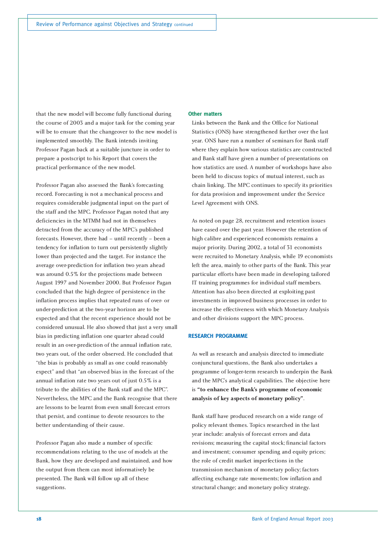that the new model will become fully functional during the course of 2003 and a major task for the coming year will be to ensure that the changeover to the new model is implemented smoothly. The Bank intends inviting Professor Pagan back at a suitable juncture in order to prepare a postscript to his Report that covers the practical performance of the new model.

Professor Pagan also assessed the Bank's forecasting record. Forecasting is not a mechanical process and requires considerable judgmental input on the part of the staff and the MPC. Professor Pagan noted that any deficiencies in the MTMM had not in themselves detracted from the accuracy of the MPC's published forecasts. However, there had – until recently – been a tendency for inflation to turn out persistently slightly lower than projected and the target. For instance the average over-prediction for inflation two years ahead was around 0.5% for the projections made between August 1997 and November 2000. But Professor Pagan concluded that the high degree of persistence in the inflation process implies that repeated runs of over- or under-prediction at the two-year horizon are to be expected and that the recent experience should not be considered unusual. He also showed that just a very small bias in predicting inflation one quarter ahead could result in an over-prediction of the annual inflation rate, two years out, of the order observed. He concluded that "the bias is probably as small as one could reasonably expect" and that "an observed bias in the forecast of the annual inflation rate two years out of just 0.5% is a tribute to the abilities of the Bank staff and the MPC". Nevertheless, the MPC and the Bank recognise that there are lessons to be learnt from even small forecast errors that persist, and continue to devote resources to the better understanding of their cause.

Professor Pagan also made a number of specific recommendations relating to the use of models at the Bank, how they are developed and maintained, and how the output from them can most informatively be presented. The Bank will follow up all of these suggestions.

### **Other matters**

Links between the Bank and the Office for National Statistics (ONS) have strengthened further over the last year. ONS have run a number of seminars for Bank staff where they explain how various statistics are constructed and Bank staff have given a number of presentations on how statistics are used. A number of workshops have also been held to discuss topics of mutual interest, such as chain linking. The MPC continues to specify its priorities for data provision and improvement under the Service Level Agreement with ONS.

As noted on page 28, recruitment and retention issues have eased over the past year. However the retention of high calibre and experienced economists remains a major priority. During 2002, a total of 31 economists were recruited to Monetary Analysis, while 19 economists left the area, mainly to other parts of the Bank. This year particular efforts have been made in developing tailored IT training programmes for individual staff members. Attention has also been directed at exploiting past investments in improved business processes in order to increase the effectiveness with which Monetary Analysis and other divisions support the MPC process.

### **RESEARCH PROGRAMME**

As well as research and analysis directed to immediate conjunctural questions, the Bank also undertakes a programme of longer-term research to underpin the Bank and the MPC's analytical capabilities. The objective here is **"to enhance the Bank's programme of economic analysis of key aspects of monetary policy"**.

Bank staff have produced research on a wide range of policy relevant themes. Topics researched in the last year include: analysis of forecast errors and data revisions; measuring the capital stock; financial factors and investment; consumer spending and equity prices; the role of credit market imperfections in the transmission mechanism of monetary policy; factors affecting exchange rate movements; low inflation and structural change; and monetary policy strategy.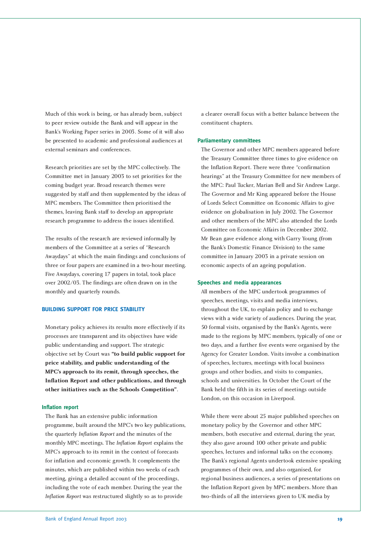Much of this work is being, or has already been, subject to peer review outside the Bank and will appear in the Bank's Working Paper series in 2003. Some of it will also be presented to academic and professional audiences at external seminars and conferences.

Research priorities are set by the MPC collectively. The Committee met in January 2003 to set priorities for the coming budget year. Broad research themes were suggested by staff and then supplemented by the ideas of MPC members. The Committee then prioritised the themes, leaving Bank staff to develop an appropriate research programme to address the issues identified.

The results of the research are reviewed informally by members of the Committee at a series of "Research Awaydays" at which the main findings and conclusions of three or four papers are examined in a two-hour meeting. Five Awaydays, covering 17 papers in total, took place over 2002/03. The findings are often drawn on in the monthly and quarterly rounds.

### **BUILDING SUPPORT FOR PRICE STABILITY**

Monetary policy achieves its results more effectively if its processes are transparent and its objectives have wide public understanding and support. The strategic objective set by Court was **"to build public support for price stability, and public understanding of the MPC's approach to its remit, through speeches, the Inflation Report and other publications, and through other initiatives such as the Schools Competition"**.

### **Inflation report**

The Bank has an extensive public information programme, built around the MPC's two key publications, the quarterly *Inflation Report* and the minutes of the monthly MPC meetings. The *Inflation Report* explains the MPC's approach to its remit in the context of forecasts for inflation and economic growth. It complements the minutes, which are published within two weeks of each meeting, giving a detailed account of the proceedings, including the vote of each member. During the year the *Inflation Report* was restructured slightly so as to provide

a clearer overall focus with a better balance between the constituent chapters.

### **Parliamentary committees**

The Governor and other MPC members appeared before the Treasury Committee three times to give evidence on the Inflation Report. There were three "confirmation hearings" at the Treasury Committee for new members of the MPC: Paul Tucker, Marian Bell and Sir Andrew Large. The Governor and Mr King appeared before the House of Lords Select Committee on Economic Affairs to give evidence on globalisation in July 2002. The Governor and other members of the MPC also attended the Lords Committee on Economic Affairs in December 2002. Mr Bean gave evidence along with Garry Young (from the Bank's Domestic Finance Division) to the same committee in January 2003 in a private session on economic aspects of an ageing population.

#### **Speeches and media appearances**

All members of the MPC undertook programmes of speeches, meetings, visits and media interviews, throughout the UK, to explain policy and to exchange views with a wide variety of audiences. During the year, 50 formal visits, organised by the Bank's Agents, were made to the regions by MPC members, typically of one or two days, and a further five events were organised by the Agency for Greater London. Visits involve a combination of speeches, lectures, meetings with local business groups and other bodies, and visits to companies, schools and universities. In October the Court of the Bank held the fifth in its series of meetings outside London, on this occasion in Liverpool.

While there were about 25 major published speeches on monetary policy by the Governor and other MPC members, both executive and external, during the year, they also gave around 100 other private and public speeches, lectures and informal talks on the economy. The Bank's regional Agents undertook extensive speaking programmes of their own, and also organised, for regional business audiences, a series of presentations on the Inflation Report given by MPC members. More than two-thirds of all the interviews given to UK media by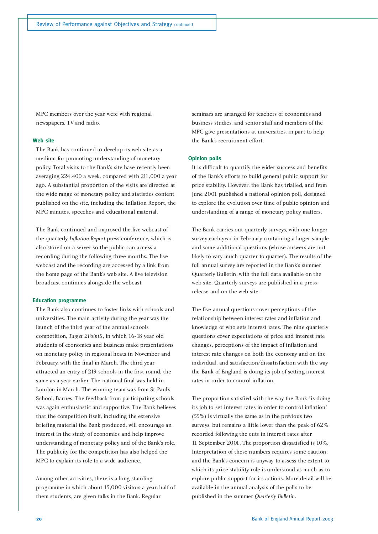MPC members over the year were with regional newspapers, TV and radio.

### **Web site**

The Bank has continued to develop its web site as a medium for promoting understanding of monetary policy. Total visits to the Bank's site have recently been averaging 224,400 a week, compared with 211,000 a year ago. A substantial proportion of the visits are directed at the wide range of monetary policy and statistics content published on the site, including the Inflation Report, the MPC minutes, speeches and educational material.

The Bank continued and improved the live webcast of the quarterly *Inflation Report* press conference, which is also stored on a server so the public can access a recording during the following three months. The live webcast and the recording are accessed by a link from the home page of the Bank's web site. A live television broadcast continues alongside the webcast.

### **Education programme**

The Bank also continues to foster links with schools and universities. The main activity during the year was the launch of the third year of the annual schools competition, *Target 2Point5*, in which 16-18 year old students of economics and business make presentations on monetary policy in regional heats in November and February, with the final in March. The third year attracted an entry of 219 schools in the first round, the same as a year earlier. The national final was held in London in March. The winning team was from St Paul's School, Barnes. The feedback from participating schools was again enthusiastic and supportive. The Bank believes that the competition itself, including the extensive briefing material the Bank produced, will encourage an interest in the study of economics and help improve understanding of monetary policy and of the Bank's role. The publicity for the competition has also helped the MPC to explain its role to a wide audience.

Among other activities, there is a long-standing programme in which about 15,000 visitors a year, half of them students, are given talks in the Bank. Regular

seminars are arranged for teachers of economics and business studies, and senior staff and members of the MPC give presentations at universities, in part to help the Bank's recruitment effort.

### **Opinion polls**

It is difficult to quantify the wider success and benefits of the Bank's efforts to build general public support for price stability. However, the Bank has trialled, and from June 2001 published a national opinion poll, designed to explore the evolution over time of public opinion and understanding of a range of monetary policy matters.

The Bank carries out quarterly surveys, with one longer survey each year in February containing a larger sample and some additional questions (whose answers are not likely to vary much quarter to quarter). The results of the full annual survey are reported in the Bank's summer Quarterly Bulletin, with the full data available on the web site. Quarterly surveys are published in a press release and on the web site.

The five annual questions cover perceptions of the relationship between interest rates and inflation and knowledge of who sets interest rates. The nine quarterly questions cover expectations of price and interest rate changes, perceptions of the impact of inflation and interest rate changes on both the economy and on the individual, and satisfaction/dissatisfaction with the way the Bank of England is doing its job of setting interest rates in order to control inflation.

The proportion satisfied with the way the Bank "is doing its job to set interest rates in order to control inflation" (55%) is virtually the same as in the previous two surveys, but remains a little lower than the peak of 62% recorded following the cuts in interest rates after 11 September 2001. The proportion dissatisfied is 10%. Interpretation of these numbers requires some caution; and the Bank's concern is anyway to assess the extent to which its price stability role is understood as much as to explore public support for its actions. More detail will be available in the annual analysis of the polls to be published in the summer *Quarterly Bulletin*.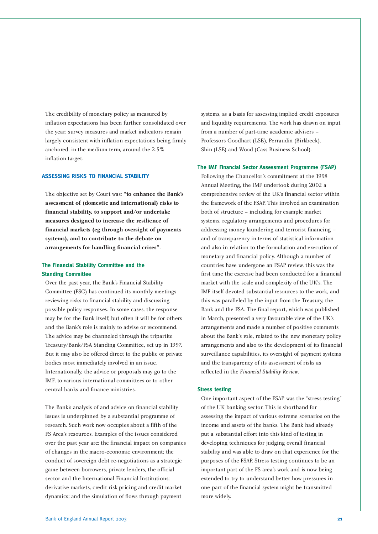The credibility of monetary policy as measured by inflation expectations has been further consolidated over the year: survey measures and market indicators remain largely consistent with inflation expectations being firmly anchored, in the medium term, around the 2.5% inflation target.

### **ASSESSING RISKS TO FINANCIAL STABILITY**

The objective set by Court was: **"to enhance the Bank's assessment of (domestic and international) risks to financial stability, to support and/or undertake measures designed to increase the resilience of financial markets (eg through oversight of payments systems), and to contribute to the debate on arrangements for handling financial crises"**.

### **The Financial Stability Committee and the Standing Committee**

Over the past year, the Bank's Financial Stability Committee (FSC) has continued its monthly meetings reviewing risks to financial stability and discussing possible policy responses. In some cases, the response may be for the Bank itself; but often it will be for others and the Bank's role is mainly to advise or recommend. The advice may be channeled through the tripartite Treasury/Bank/FSA Standing Committee, set up in 1997. But it may also be offered direct to the public or private bodies most immediately involved in an issue. Internationally, the advice or proposals may go to the IMF, to various international committees or to other central banks and finance ministries.

The Bank's analysis of and advice on financial stability issues is underpinned by a substantial programme of research. Such work now occupies about a fifth of the FS Area's resources. Examples of the issues considered over the past year are: the financial impact on companies of changes in the macro-economic environment; the conduct of sovereign debt re-negotiations as a strategic game between borrowers, private lenders, the official sector and the International Financial Institutions; derivative markets, credit risk pricing and credit market dynamics; and the simulation of flows through payment

systems, as a basis for assessing implied credit exposures and liquidity requirements. The work has drawn on input from a number of part-time academic advisers – Professors Goodhart (LSE), Perraudin (Birkbeck), Shin (LSE) and Wood (Cass Business School).

### **The IMF Financial Sector Assessment Programme (FSAP)**

Following the Chancellor's commitment at the 1998 Annual Meeting, the IMF undertook during 2002 a comprehensive review of the UK's financial sector within the framework of the FSAP. This involved an examination both of structure – including for example market systems, regulatory arrangements and procedures for addressing money laundering and terrorist financing – and of transparency in terms of statistical information and also in relation to the formulation and execution of monetary and financial policy. Although a number of countries have undergone an FSAP review, this was the first time the exercise had been conducted for a financial market with the scale and complexity of the UK's. The IMF itself devoted substantial resources to the work, and this was paralleled by the input from the Treasury, the Bank and the FSA. The final report, which was published in March, presented a very favourable view of the UK's arrangements and made a number of positive comments about the Bank's role, related to the new monetary policy arrangements and also to the development of its financial surveillance capabilities, its oversight of payment systems and the transparency of its assessment of risks as reflected in the *Financial Stability Review*.

### **Stress testing**

One important aspect of the FSAP was the "stress testing" of the UK banking sector. This is shorthand for assessing the impact of various extreme scenarios on the income and assets of the banks. The Bank had already put a substantial effort into this kind of testing in developing techniques for judging overall financial stability and was able to draw on that experience for the purposes of the FSAP. Stress testing continues to be an important part of the FS area's work and is now being extended to try to understand better how pressures in one part of the financial system might be transmitted more widely.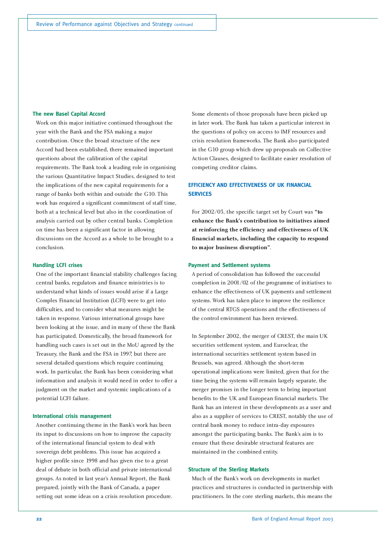### **The new Basel Capital Accord**

Work on this major initiative continued throughout the year with the Bank and the FSA making a major contribution. Once the broad structure of the new Accord had been established, there remained important questions about the calibration of the capital requirements. The Bank took a leading role in organising the various Quantitative Impact Studies, designed to test the implications of the new capital requirements for a range of banks both within and outside the G10. This work has required a significant commitment of staff time, both at a technical level but also in the coordination of analysis carried out by other central banks. Completion on time has been a significant factor in allowing discussions on the Accord as a whole to be brought to a conclusion.

### **Handling LCFI crises**

One of the important financial stability challenges facing central banks, regulators and finance ministries is to understand what kinds of issues would arise if a Large Complex Financial Institution (LCFI) were to get into difficulties, and to consider what measures might be taken in response. Various international groups have been looking at the issue, and in many of these the Bank has participated. Domestically, the broad framework for handling such cases is set out in the MoU agreed by the Treasury, the Bank and the FSA in 1997, but there are several detailed questions which require continuing work. In particular, the Bank has been considering what information and analysis it would need in order to offer a judgment on the market and systemic implications of a potential LCFI failure.

### **International crisis management**

Another continuing theme in the Bank's work has been its input to discussions on how to improve the capacity of the international financial system to deal with sovereign debt problems. This issue has acquired a higher profile since 1998 and has given rise to a great deal of debate in both official and private international groups. As noted in last year's Annual Report, the Bank prepared, jointly with the Bank of Canada, a paper setting out some ideas on a crisis resolution procedure. Some elements of those proposals have been picked up in later work. The Bank has taken a particular interest in the questions of policy on access to IMF resources and crisis resolution frameworks. The Bank also participated in the G10 group which drew up proposals on Collective Action Clauses, designed to facilitate easier resolution of competing creditor claims.

### **EFFICIENCY AND EFFECTIVENESS OF UK FINANCIAL SERVICES**

For 2002/03, the specific target set by Court was **"to enhance the Bank's contribution to initiatives aimed at reinforcing the efficiency and effectiveness of UK financial markets, including the capacity to respond to major business disruption"**.

### **Payment and Settlement systems**

A period of consolidation has followed the successful completion in 2001/02 of the programme of initiatives to enhance the effectiveness of UK payments and settlement systems. Work has taken place to improve the resilience of the central RTGS operations and the effectiveness of the control environment has been reviewed.

In September 2002, the merger of CREST, the main UK securities settlement system, and Euroclear, the international securities settlement system based in Brussels, was agreed. Although the short-term operational implications were limited, given that for the time being the systems will remain largely separate, the merger promises in the longer term to bring important benefits to the UK and European financial markets. The Bank has an interest in these developments as a user and also as a supplier of services to CREST, notably the use of central bank money to reduce intra-day exposures amongst the participating banks. The Bank's aim is to ensure that these desirable structural features are maintained in the combined entity.

### **Structure of the Sterling Markets**

Much of the Bank's work on developments in market practices and structures is conducted in partnership with practitioners. In the core sterling markets, this means the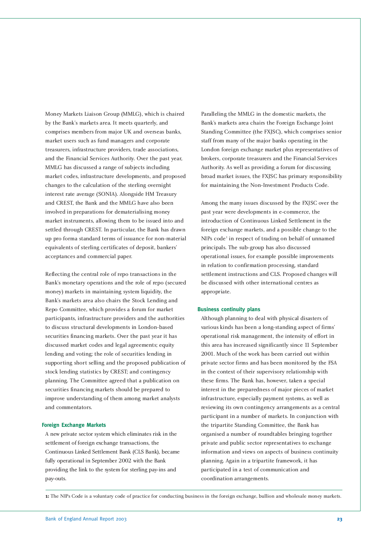Money Markets Liaison Group (MMLG), which is chaired by the Bank's markets area. It meets quarterly, and comprises members from major UK and overseas banks, market users such as fund managers and corporate treasurers, infrastructure providers, trade associations, and the Financial Services Authority. Over the past year, MMLG has discussed a range of subjects including market codes, infrastructure developments, and proposed changes to the calculation of the sterling overnight interest rate average (SONIA). Alongside HM Treasury and CREST, the Bank and the MMLG have also been involved in preparations for dematerialising money market instruments, allowing them to be issued into and settled through CREST. In particular, the Bank has drawn up pro forma standard terms of issuance for non-material equivalents of sterling certificates of deposit, bankers' acceptances and commercial paper.

Reflecting the central role of repo transactions in the Bank's monetary operations and the role of repo (secured money) markets in maintaining system liquidity, the Bank's markets area also chairs the Stock Lending and Repo Committee, which provides a forum for market participants, infrastructure providers and the authorities to discuss structural developments in London-based securities financing markets. Over the past year it has discussed market codes and legal agreements; equity lending and voting; the role of securities lending in supporting short selling and the proposed publication of stock lending statistics by CREST; and contingency planning. The Committee agreed that a publication on securities financing markets should be prepared to improve understanding of them among market analysts and commentators.

### **Foreign Exchange Markets**

A new private sector system which eliminates risk in the settlement of foreign exchange transactions, the Continuous Linked Settlement Bank (CLS Bank), became fully operational in September 2002 with the Bank providing the link to the system for sterling pay-ins and pay-outs.

Paralleling the MMLG in the domestic markets, the Bank's markets area chairs the Foreign Exchange Joint Standing Committee (the FXJSC), which comprises senior staff from many of the major banks operating in the London foreign exchange market plus representatives of brokers, corporate treasurers and the Financial Services Authority. As well as providing a forum for discussing broad market issues, the FXJSC has primary responsibility for maintaining the Non-Investment Products Code.

Among the many issues discussed by the FXJSC over the past year were developments in e-commerce, the introduction of Continuous Linked Settlement in the foreign exchange markets, and a possible change to the  $NIPs code<sup>1</sup>$  in respect of trading on behalf of unnamed principals. The sub-group has also discussed operational issues, for example possible improvements in relation to confirmation processing, standard settlement instructions and CLS. Proposed changes will be discussed with other international centres as appropriate.

#### **Business continuity plans**

Although planning to deal with physical disasters of various kinds has been a long-standing aspect of firms' operational risk management, the intensity of effort in this area has increased significantly since 11 September 2001. Much of the work has been carried out within private sector firms and has been monitored by the FSA in the context of their supervisory relationship with these firms. The Bank has, however, taken a special interest in the preparedness of major pieces of market infrastructure, especially payment systems, as well as reviewing its own contingency arrangements as a central participant in a number of markets. In conjunction with the tripartite Standing Committee, the Bank has organised a number of roundtables bringing together private and public sector representatives to exchange information and views on aspects of business continuity planning. Again in a tripartite framework, it has participated in a test of communication and coordination arrangements.

**<sup>1:</sup>** The NIPs Code is a voluntary code of practice for conducting business in the foreign exchange, bullion and wholesale money markets.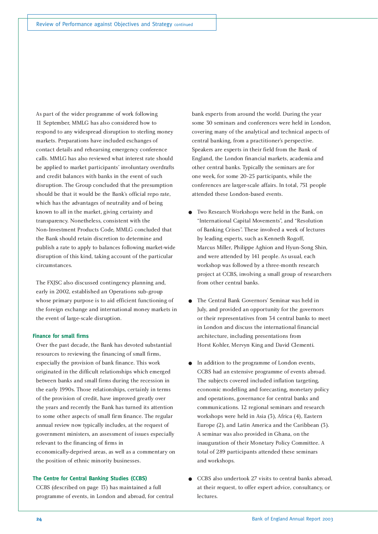As part of the wider programme of work following 11 September, MMLG has also considered how to respond to any widespread disruption to sterling money markets. Preparations have included exchanges of contact details and rehearsing emergency conference calls. MMLG has also reviewed what interest rate should be applied to market participants' involuntary overdrafts and credit balances with banks in the event of such disruption. The Group concluded that the presumption should be that it would be the Bank's official repo rate, which has the advantages of neutrality and of being known to all in the market, giving certainty and transparency. Nonetheless, consistent with the Non-Investment Products Code, MMLG concluded that the Bank should retain discretion to determine and publish a rate to apply to balances following market-wide disruption of this kind, taking account of the particular circumstances.

The FXJSC also discussed contingency planning and, early in 2002, established an Operations sub-group whose primary purpose is to aid efficient functioning of the foreign exchange and international money markets in the event of large-scale disruption.

### **Finance for small firms**

Over the past decade, the Bank has devoted substantial resources to reviewing the financing of small firms, especially the provision of bank finance. This work originated in the difficult relationships which emerged between banks and small firms during the recession in the early 1990s. Those relationships, certainly in terms of the provision of credit, have improved greatly over the years and recently the Bank has turned its attention to some other aspects of small firm finance. The regular annual review now typically includes, at the request of government ministers, an assessment of issues especially relevant to the financing of firms in economically-deprived areas, as well as a commentary on the position of ethnic minority businesses.

### **The Centre for Central Banking Studies (CCBS)**

CCBS (described on page 13) has maintained a full programme of events, in London and abroad, for central

bank experts from around the world. During the year some 30 seminars and conferences were held in London, covering many of the analytical and technical aspects of central banking, from a practitioner's perspective. Speakers are experts in their field from the Bank of England, the London financial markets, academia and other central banks. Typically the seminars are for one week, for some 20-25 participants, while the conferences are larger-scale affairs. In total, 751 people attended these London-based events.

- Two Research Workshops were held in the Bank, on "International Capital Movements", and "Resolution of Banking Crises". These involved a week of lectures by leading experts, such as Kenneth Rogoff, Marcus Miller, Philippe Aghion and Hyun-Song Shin, and were attended by 141 people. As usual, each workshop was followed by a three-month research project at CCBS, involving a small group of researchers from other central banks.
- The Central Bank Governors' Seminar was held in July, and provided an opportunity for the governors or their representatives from 34 central banks to meet in London and discuss the international financial architecture, including presentations from Horst Kohler, Mervyn King and David Clementi.
- In addition to the programme of London events, CCBS had an extensive programme of events abroad. The subjects covered included inflation targeting, economic modelling and forecasting, monetary policy and operations, governance for central banks and communications. 12 regional seminars and research workshops were held in Asia (3), Africa (4), Eastern Europe (2), and Latin America and the Caribbean (3). A seminar was also provided in Ghana, on the inauguration of their Monetary Policy Committee. A total of 289 participants attended these seminars and workshops.
- CCBS also undertook 27 visits to central banks abroad, at their request, to offer expert advice, consultancy, or lectures.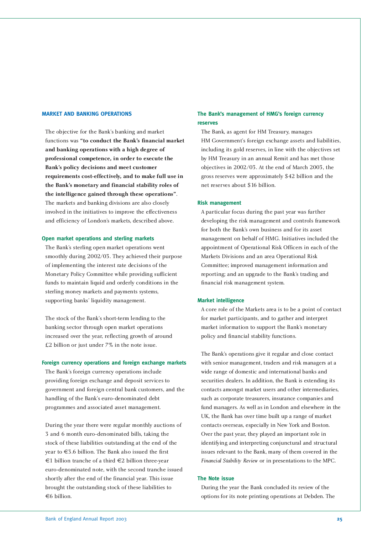### **MARKET AND BANKING OPERATIONS**

The objective for the Bank's banking and market functions was **"to conduct the Bank's financial market and banking operations with a high degree of professional competence, in order to execute the Bank's policy decisions and meet customer requirements cost-effectively, and to make full use in the Bank's monetary and financial stability roles of the intelligence gained through these operations"**. The markets and banking divisions are also closely involved in the initiatives to improve the effectiveness and efficiency of London's markets, described above.

### **Open market operations and sterling markets**

The Bank's sterling open market operations went smoothly during 2002/03. They achieved their purpose of implementing the interest rate decisions of the Monetary Policy Committee while providing sufficient funds to maintain liquid and orderly conditions in the sterling money markets and payments systems, supporting banks' liquidity management.

The stock of the Bank's short-term lending to the banking sector through open market operations increased over the year, reflecting growth of around £2 billion or just under 7% in the note issue.

### **Foreign currency operations and foreign exchange markets**

The Bank's foreign currency operations include providing foreign exchange and deposit services to government and foreign central bank customers, and the handling of the Bank's euro-denominated debt programmes and associated asset management.

During the year there were regular monthly auctions of 3 and 6 month euro-denominated bills, taking the stock of these liabilities outstanding at the end of the year to €3.6 billion. The Bank also issued the first €1 billion tranche of a third €2 billion three-year euro-denominated note, with the second tranche issued shortly after the end of the financial year. This issue brought the outstanding stock of these liabilities to €6 billion.

### **The Bank's management of HMG's foreign currency reserves**

The Bank, as agent for HM Treasury, manages HM Government's foreign exchange assets and liabilities, including its gold reserves, in line with the objectives set by HM Treasury in an annual Remit and has met those objectives in 2002/03. At the end of March 2003, the gross reserves were approximately \$42 billion and the net reserves about \$16 billion.

### **Risk management**

A particular focus during the past year was further developing the risk management and controls framework for both the Bank's own business and for its asset management on behalf of HMG. Initiatives included the appointment of Operational Risk Officers in each of the Markets Divisions and an area Operational Risk Committee; improved management information and reporting; and an upgrade to the Bank's trading and financial risk management system.

### **Market intelligence**

A core role of the Markets area is to be a point of contact for market participants, and to gather and interpret market information to support the Bank's monetary policy and financial stability functions.

The Bank's operations give it regular and close contact with senior management, traders and risk managers at a wide range of domestic and international banks and securities dealers. In addition, the Bank is extending its contacts amongst market users and other intermediaries, such as corporate treasurers, insurance companies and fund managers. As well as in London and elsewhere in the UK, the Bank has over time built up a range of market contacts overseas, especially in New York and Boston. Over the past year, they played an important role in identifying and interpreting conjunctural and structural issues relevant to the Bank, many of them covered in the *Financial Stability Review* or in presentations to the MPC.

### **The Note issue**

During the year the Bank concluded its review of the options for its note printing operations at Debden. The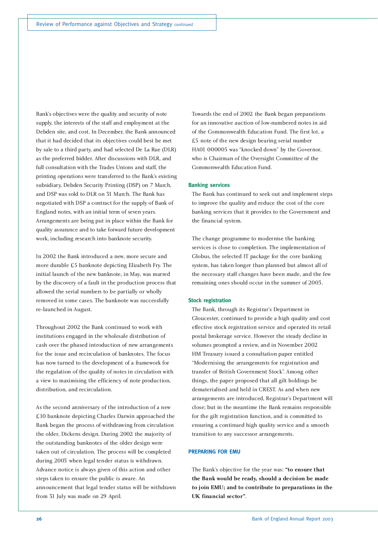Bank's objectives were the quality and security of note supply, the interests of the staff and employment at the Debden site, and cost. In December, the Bank announced that it had decided that its objectives could best be met by sale to a third party, and had selected De La Rue (DLR) as the preferred bidder. After discussions with DLR, and full consultation with the Trades Unions and staff, the printing operations were transferred to the Bank's existing subsidiary, Debden Security Printing (DSP) on 7 March, and DSP was sold to DLR on 31 March. The Bank has negotiated with DSP a contract for the supply of Bank of England notes, with an initial term of seven years. Arrangements are being put in place within the Bank for quality assurance and to take forward future development work, including research into banknote security.

In 2002 the Bank introduced a new, more secure and more durable £5 banknote depicting Elizabeth Fry. The initial launch of the new banknote, in May, was marred by the discovery of a fault in the production process that allowed the serial numbers to be partially or wholly removed in some cases. The banknote was successfully re-launched in August.

Throughout 2002 the Bank continued to work with institutions engaged in the wholesale distribution of cash over the phased introduction of new arrangements for the issue and recirculation of banknotes. The focus has now turned to the development of a framework for the regulation of the quality of notes in circulation with a view to maximising the efficiency of note production, distribution, and recirculation.

As the second anniversary of the introduction of a new £10 banknote depicting Charles Darwin approached the Bank began the process of withdrawing from circulation the older, Dickens design. During 2002 the majority of the outstanding banknotes of the older design were taken out of circulation. The process will be completed during 2003 when legal tender status is withdrawn. Advance notice is always given of this action and other steps taken to ensure the public is aware. An announcement that legal tender status will be withdrawn from 31 July was made on 29 April.

Towards the end of 2002 the Bank began preparations for an innovative auction of low-numbered notes in aid of the Commonwealth Education Fund. The first lot, a £5 note of the new design bearing serial number HA01 000005 was "knocked down" by the Governor, who is Chairman of the Oversight Committee of the Commonwealth Education Fund.

### **Banking services**

The Bank has continued to seek out and implement steps to improve the quality and reduce the cost of the core banking services that it provides to the Government and the financial system.

The change programme to modernise the banking services is close to completion. The implementation of Globus, the selected IT package for the core banking system, has taken longer than planned but almost all of the necessary staff changes have been made, and the few remaining ones should occur in the summer of 2003.

### **Stock registration**

The Bank, through its Registrar's Department in Gloucester, continued to provide a high quality and cost effective stock registration service and operated its retail postal brokerage service. However the steady decline in volumes prompted a review, and in November 2002 HM Treasury issued a consultation paper entitled "Modernising the arrangements for registration and transfer of British Government Stock". Among other things, the paper proposed that all gilt holdings be dematerialised and held in CREST. As and when new arrangements are introduced, Registrar's Department will close; but in the meantime the Bank remains responsible for the gilt registration function, and is committed to ensuring a continued high quality service and a smooth transition to any successor arrangements.

### **PREPARING FOR EMU**

The Bank's objective for the year was: **"to ensure that the Bank would be ready, should a decision be made to join EMU; and to contribute to preparations in the UK financial sector"**.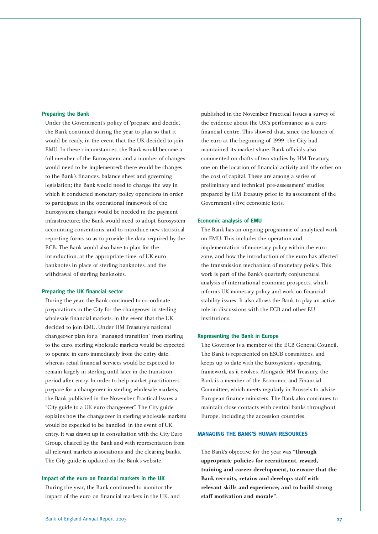### **Preparing the Bank**

Under the Government's policy of 'prepare and decide', the Bank continued during the year to plan so that it would be ready, in the event that the UK decided to join EMU. In these circumstances, the Bank would become a full member of the Eurosystem, and a number of changes would need to be implemented: there would be changes to the Bank's finances, balance sheet and governing legislation; the Bank would need to change the way in which it conducted monetary policy operations in order to participate in the operational framework of the Eurosystem; changes would be needed in the payment infrastructure; the Bank would need to adopt Eurosystem accounting conventions, and to introduce new statistical reporting forms so as to provide the data required by the ECB. The Bank would also have to plan for the introduction, at the appropriate time, of UK euro banknotes in place of sterling banknotes, and the withdrawal of sterling banknotes.

### **Preparing the UK financial sector**

During the year, the Bank continued to co-ordinate preparations in the City for the changeover in sterling wholesale financial markets, in the event that the UK decided to join EMU. Under HM Treasury's national changeover plan for a "managed transition" from sterling to the euro, sterling wholesale markets would be expected to operate in euro immediately from the entry date, whereas retail financial services would be expected to remain largely in sterling until later in the transition period after entry. In order to help market practitioners prepare for a changeover in sterling wholesale markets, the Bank published in the November Practical Issues a "City guide to a UK euro changeover". The City guide explains how the changeover in sterling wholesale markets would be expected to be handled, in the event of UK entry. It was drawn up in consultation with the City Euro Group, chaired by the Bank and with representation from all relevant markets associations and the clearing banks. The City guide is updated on the Bank's website.

### **Impact of the euro on financial markets in the UK**

During the year, the Bank continued to monitor the impact of the euro on financial markets in the UK, and

published in the November Practical Issues a survey of the evidence about the UK's performance as a euro financial centre. This showed that, since the launch of the euro at the beginning of 1999, the City had maintained its market share. Bank officials also commented on drafts of two studies by HM Treasury, one on the location of financial activity and the other on the cost of capital. These are among a series of preliminary and technical 'pre-assessment' studies prepared by HM Treasury prior to its assessment of the Government's five economic tests.

#### **Economic analysis of EMU**

The Bank has an ongoing programme of analytical work on EMU. This includes the operation and implementation of monetary policy within the euro zone, and how the introduction of the euro has affected the transmission mechanism of monetary policy. This work is part of the Bank's quarterly conjunctural analysis of international economic prospects, which informs UK monetary policy and work on financial stability issues. It also allows the Bank to play an active role in discussions with the ECB and other EU institutions.

### **Representing the Bank in Europe**

The Governor is a member of the ECB General Council. The Bank is represented on ESCB committees, and keeps up to date with the Eurosystem's operating framework, as it evolves. Alongside HM Treasury, the Bank is a member of the Economic and Financial Committee, which meets regularly in Brussels to advise European finance ministers. The Bank also continues to maintain close contacts with central banks throughout Europe, including the accession countries.

### **MANAGING THE BANK'S HUMAN RESOURCES**

The Bank's objective for the year was **"through appropriate policies for recruitment, reward, training and career development, to ensure that the Bank recruits, retains and develops staff with relevant skills and experience; and to build strong staff motivation and morale"**.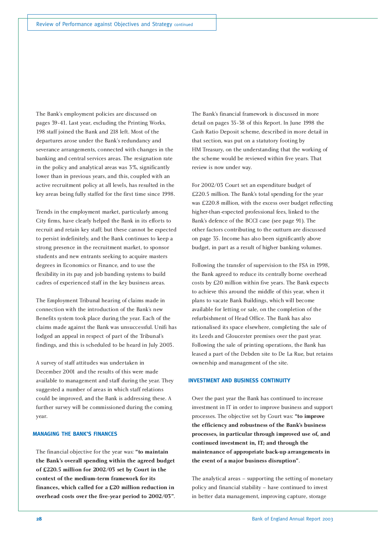The Bank's employment policies are discussed on pages 39-41. Last year, excluding the Printing Works, 198 staff joined the Bank and 218 left. Most of the departures arose under the Bank's redundancy and severance arrangements, connected with changes in the banking and central services areas. The resignation rate in the policy and analytical areas was 3%, significantly lower than in previous years, and this, coupled with an active recruitment policy at all levels, has resulted in the key areas being fully staffed for the first time since 1998.

Trends in the employment market, particularly among City firms, have clearly helped the Bank in its efforts to recruit and retain key staff; but these cannot be expected to persist indefinitely, and the Bank continues to keep a strong presence in the recruitment market, to sponsor students and new entrants seeking to acquire masters degrees in Economics or Finance, and to use the flexibility in its pay and job banding systems to build cadres of experienced staff in the key business areas.

The Employment Tribunal hearing of claims made in connection with the introduction of the Bank's new Benefits system took place during the year. Each of the claims made against the Bank was unsuccessful. Unifi has lodged an appeal in respect of part of the Tribunal's findings, and this is scheduled to be heard in July 2003.

A survey of staff attitudes was undertaken in December 2001 and the results of this were made available to management and staff during the year. They suggested a number of areas in which staff relations could be improved, and the Bank is addressing these. A further survey will be commissioned during the coming year.

### **MANAGING THE BANK'S FINANCES**

The financial objective for the year was: **"to maintain the Bank's overall spending within the agreed budget of £220.5 million for 2002/03 set by Court in the context of the medium-term framework for its finances, which called for a £20 million reduction in overhead costs over the five-year period to 2002/03"**.

The Bank's financial framework is discussed in more detail on pages 35-38 of this Report. In June 1998 the Cash Ratio Deposit scheme, described in more detail in that section, was put on a statutory footing by HM Treasury, on the understanding that the working of the scheme would be reviewed within five years. That review is now under way.

For 2002/03 Court set an expenditure budget of £220.5 million. The Bank's total spending for the year was £220.8 million, with the excess over budget reflecting higher-than-expected professional fees, linked to the Bank's defence of the BCCI case (see page 91). The other factors contributing to the outturn are discussed on page 35. Income has also been significantly above budget, in part as a result of higher banking volumes.

Following the transfer of supervision to the FSA in 1998, the Bank agreed to reduce its centrally borne overhead costs by £20 million within five years. The Bank expects to achieve this around the middle of this year, when it plans to vacate Bank Buildings, which will become available for letting or sale, on the completion of the refurbishment of Head Office. The Bank has also rationalised its space elsewhere, completing the sale of its Leeds and Gloucester premises over the past year. Following the sale of printing operations, the Bank has leased a part of the Debden site to De La Rue, but retains ownership and management of the site.

### **INVESTMENT AND BUSINESS CONTINUITY**

Over the past year the Bank has continued to increase investment in IT in order to improve business and support processes. The objective set by Court was: **"to improve the efficiency and robustness of the Bank's business processes, in particular through improved use of, and continued investment in, IT; and through the maintenance of appropriate back-up arrangements in the event of a major business disruption"**.

The analytical areas – supporting the setting of monetary policy and financial stability – have continued to invest in better data management, improving capture, storage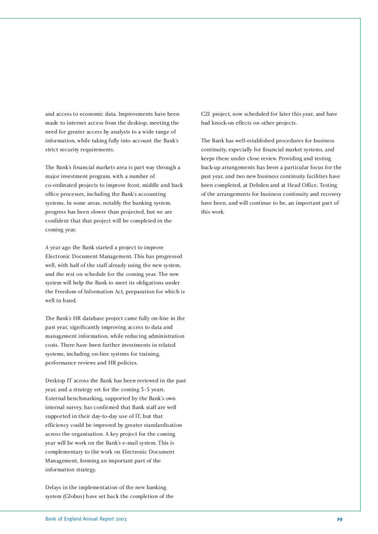and access to economic data. Improvements have been made to internet access from the desktop, meeting the need for greater access by analysts to a wide range of information, while taking fully into account the Bank's strict security requirements.

The Bank's financial markets area is part way through a major investment program, with a number of co-ordinated projects to improve front, middle and back office processes, including the Bank's accounting systems. In some areas, notably the banking system, progress has been slower than projected, but we are confident that that project will be completed in the coming year.

A year ago the Bank started a project to improve Electronic Document Management. This has progressed well, with half of the staff already using the new system, and the rest on schedule for the coming year. The new system will help the Bank to meet its obligations under the Freedom of Information Act, preparation for which is well in hand.

The Bank's HR database project came fully on-line in the past year, significantly improving access to data and management information, while reducing administration costs. There have been further investments in related systems, including on-line systems for training, performance reviews and HR policies.

Desktop IT across the Bank has been reviewed in the past year, and a strategy set for the coming 3-5 years. External benchmarking, supported by the Bank's own internal survey, has confirmed that Bank staff are well supported in their day-to-day use of IT, but that efficiency could be improved by greater standardisation across the organisation. A key project for the coming year will be work on the Bank's e-mail system. This is complementary to the work on Electronic Document Management, forming an important part of the information strategy.

Delays in the implementation of the new banking system (Globus) have set back the completion of the C21 project, now scheduled for later this year, and have had knock-on effects on other projects.

The Bank has well-established procedures for business continuity, especially for financial market systems, and keeps these under close review. Providing and testing back-up arrangements has been a particular focus for the past year, and two new business continuity facilities have been completed, at Debden and at Head Office. Testing of the arrangements for business continuity and recovery have been, and will continue to be, an important part of this work.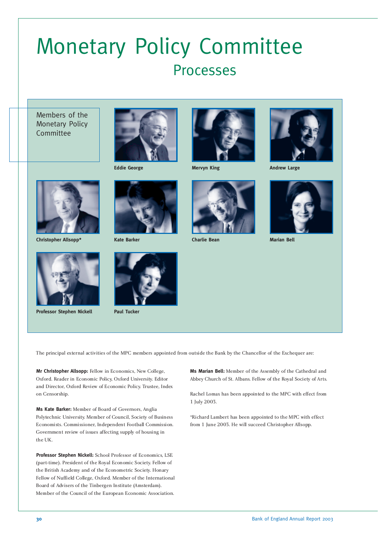### Monetary Policy Committee Processes

Members of the Monetary Policy Committee



**Eddie George**



**Mervyn King**



**Andrew Large**



**Christopher Allsopp\* Kate Barker**



**Professor Stephen Nickell**





**Paul Tucker**



**Charlie Bean**



**Marian Bell**

The principal external activities of the MPC members appointed from outside the Bank by the Chancellor of the Exchequer are:

**Mr Christopher Allsopp:** Fellow in Economics, New College, Oxford. Reader in Economic Policy, Oxford University. Editor and Director, Oxford Review of Economic Policy. Trustee, Index on Censorship.

**Ms Kate Barker:** Member of Board of Governors, Anglia Polytechnic University. Member of Council, Society of Business Economists. Commissioner, Independent Football Commission. Government review of issues affecting supply of housing in the UK.

**Professor Stephen Nickell:** School Professor of Economics, LSE (part-time). President of the Royal Economic Society. Fellow of the British Academy and of the Econometric Society. Honary Fellow of Nuffield College, Oxford. Member of the International Board of Advisers of the Tinbergen Institute (Amsterdam). Member of the Council of the European Economic Association.

**Ms Marian Bell:** Member of the Assembly of the Cathedral and Abbey Church of St. Albans. Fellow of the Royal Society of Arts.

Rachel Lomax has been appointed to the MPC with effect from 1 July 2003.

\*Richard Lambert has been appointed to the MPC with effect from 1 June 2003. He will succeed Christopher Allsopp.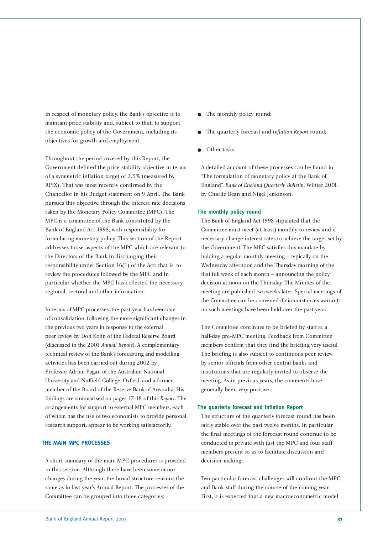In respect of monetary policy, the Bank's objective is to maintain price stability and, subject to that, to support the economic policy of the Government, including its objectives for growth and employment.

Throughout the period covered by this Report, the Government defined the price stability objective in terms of a symmetric inflation target of 2.5% (measured by RPIX). That was most recently confirmed by the Chancellor in his Budget statement on 9 April. The Bank pursues this objective through the interest rate decisions taken by the Monetary Policy Committee (MPC). The MPC is a committee of the Bank constituted by the Bank of England Act 1998, with responsibility for formulating monetary policy. This section of the Report addresses those aspects of the MPC which are relevant to the Directors of the Bank in discharging their responsibility under Section 16(1) of the Act: that is, to review the procedures followed by the MPC and in particular whether the MPC has collected the necessary regional, sectoral and other information.

In terms of MPC processes, the past year has been one of consolidation, following the more significant changes in the previous two years in response to the external peer review by Don Kohn of the Federal Reserve Board (discussed in the 2001 *Annual Report*). A complementary technical review of the Bank's forecasting and modelling activities has been carried out during 2002 by Professor Adrian Pagan of the Australian National University and Nuffield College, Oxford, and a former member of the Board of the Reserve Bank of Australia. His findings are summarised on pages 17-18 of this *Report*. The arrangements for support to external MPC members, each of whom has the use of two economists to provide personal research support, appear to be working satisfactorily.

### **THE MAIN MPC PROCESSES**

A short summary of the main MPC procedures is provided in this section. Although there have been some minor changes during the year, the broad structure remains the same as in last year's Annual Report. The processes of the Committee can be grouped into three categories:

- The monthly policy round;
- The quarterly forecast and *Inflation Report* round;
- Other tasks

A detailed account of these processes can be found in "The formulation of monetary policy at the Bank of England", *Bank of England Quarterly Bulletin*, Winter 2001, by Charlie Bean and Nigel Jenkinson.

### **The monthly policy round**

The Bank of England Act 1998 stipulated that the Committee must meet (at least) monthly to review and if necessary change interest rates to achieve the target set by the Government. The MPC satisfies this mandate by holding a regular monthly meeting – typically on the Wednesday afternoon and the Thursday morning of the first full week of each month – announcing the policy decision at noon on the Thursday. The Minutes of the meeting are published two weeks later. Special meetings of the Committee can be convened if circumstances warrant: no such meetings have been held over the past year.

The Committee continues to be briefed by staff at a half-day pre-MPC meeting. Feedback from Committee members confirm that they find the briefing very useful. The briefing is also subject to continuous peer review by senior officials from other central banks and institutions that are regularly invited to observe the meeting. As in previous years, the comments have generally been very positive.

### **The quarterly forecast and Inflation Report**

The structure of the quarterly forecast round has been fairly stable over the past twelve months. In particular the final meetings of the forecast round continue to be conducted in private with just the MPC and four staff members present so as to facilitate discussion and decision-making.

Two particular forecast challenges will confront the MPC and Bank staff during the course of the coming year. First, it is expected that a new macroeconometric model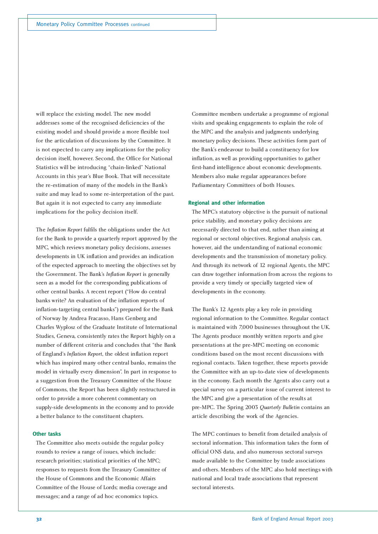will replace the existing model. The new model addresses some of the recognised deficiencies of the existing model and should provide a more flexible tool for the articulation of discussions by the Committee. It is not expected to carry any implications for the policy decision itself, however. Second, the Office for National Statistics will be introducing "chain-linked" National Accounts in this year's Blue Book. That will necessitate the re-estimation of many of the models in the Bank's suite and may lead to some re-interpretation of the past. But again it is not expected to carry any immediate implications for the policy decision itself.

The *Inflation Report* fulfils the obligations under the Act for the Bank to provide a quarterly report approved by the MPC, which reviews monetary policy decisions, assesses developments in UK inflation and provides an indication of the expected approach to meeting the objectives set by the Government. The Bank's *Inflation Report* is generally seen as a model for the corresponding publications of other central banks. A recent report ("How do central banks write? An evaluation of the inflation reports of inflation-targeting central banks") prepared for the Bank of Norway by Andrea Fracasso, Hans Genberg and Charles Wyplosz of the Graduate Institute of International Studies, Geneva, consistently rates the Report highly on a number of different criteria and concludes that "the Bank of England's *Inflation Report*, the oldest inflation report which has inspired many other central banks, remains the model in virtually every dimension". In part in response to a suggestion from the Treasury Committee of the House of Commons, the Report has been slightly restructured in order to provide a more coherent commentary on supply-side developments in the economy and to provide a better balance to the constituent chapters.

### **Other tasks**

The Committee also meets outside the regular policy rounds to review a range of issues, which include: research priorities; statistical priorities of the MPC; responses to requests from the Treasury Committee of the House of Commons and the Economic Affairs Committee of the House of Lords; media coverage and messages; and a range of ad hoc economics topics.

Committee members undertake a programme of regional visits and speaking engagements to explain the role of the MPC and the analysis and judgments underlying monetary policy decisions. These activities form part of the Bank's endeavour to build a constituency for low inflation, as well as providing opportunities to gather first-hand intelligence about economic developments. Members also make regular appearances before Parliamentary Committees of both Houses.

### **Regional and other information**

The MPC's statutory objective is the pursuit of national price stability, and monetary policy decisions are necessarily directed to that end, rather than aiming at regional or sectoral objectives. Regional analysis can, however, aid the understanding of national economic developments and the transmission of monetary policy. And through its network of 12 regional Agents, the MPC can draw together information from across the regions to provide a very timely or specially targeted view of developments in the economy.

The Bank's 12 Agents play a key role in providing regional information to the Committee. Regular contact is maintained with 7,000 businesses throughout the UK. The Agents produce monthly written reports and give presentations at the pre-MPC meeting on economic conditions based on the most recent discussions with regional contacts. Taken together, these reports provide the Committee with an up-to-date view of developments in the economy. Each month the Agents also carry out a special survey on a particular issue of current interest to the MPC and give a presentation of the results at pre-MPC. The Spring 2003 *Quarterly Bulletin* contains an article describing the work of the Agencies.

The MPC continues to benefit from detailed analysis of sectoral information. This information takes the form of official ONS data, and also numerous sectoral surveys made available to the Committee by trade associations and others. Members of the MPC also hold meetings with national and local trade associations that represent sectoral interests.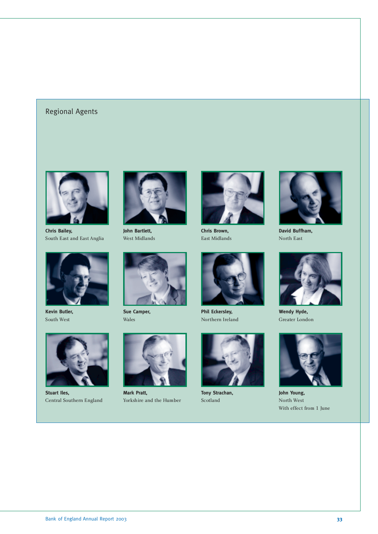### Regional Agents



**Chris Bailey,** South East and East Anglia



**Kevin Butler,** South West



**Stuart Iles,** Central Southern England



**John Bartlett,** West Midlands



**Sue Camper,** Wales

**Mark Pratt,**

Yorkshire and the Humber



**Chris Brown,** East Midlands



**Phil Eckersley,** Northern Ireland



**Tony Strachan,** Scotland



**David Buffham,** North East



**Wendy Hyde,** Greater London



**John Young,** North West With effect from 1 June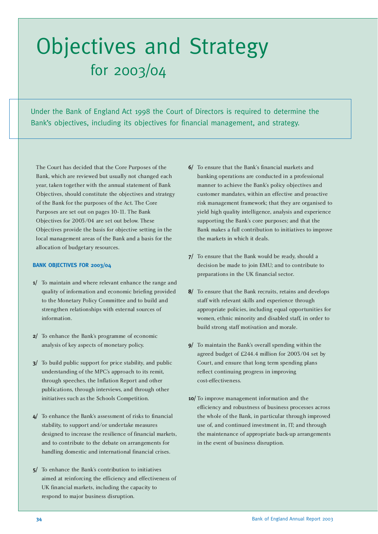## Objectives and Strategy for 2003/04

Under the Bank of England Act 1998 the Court of Directors is required to determine the Bank's objectives, including its objectives for financial management, and strategy.

The Court has decided that the Core Purposes of the Bank, which are reviewed but usually not changed each year, taken together with the annual statement of Bank Objectives, should constitute the objectives and strategy of the Bank for the purposes of the Act. The Core Purposes are set out on pages 10-11. The Bank Objectives for 2003/04 are set out below. These Objectives provide the basis for objective setting in the local management areas of the Bank and a basis for the allocation of budgetary resources.

### **BANK OBJECTIVES FOR 2003/04**

- **1/** To maintain and where relevant enhance the range and quality of information and economic briefing provided to the Monetary Policy Committee and to build and strengthen relationships with external sources of information.
- **2/** To enhance the Bank's programme of economic analysis of key aspects of monetary policy.
- **3/** To build public support for price stability, and public understanding of the MPC's approach to its remit, through speeches, the Inflation Report and other publications, through interviews, and through other initiatives such as the Schools Competition.
- **4/** To enhance the Bank's assessment of risks to financial stability, to support and/or undertake measures designed to increase the resilience of financial markets, and to contribute to the debate on arrangements for handling domestic and international financial crises.
- **5/** To enhance the Bank's contribution to initiatives aimed at reinforcing the efficiency and effectiveness of UK financial markets, including the capacity to respond to major business disruption.
- **6/** To ensure that the Bank's financial markets and banking operations are conducted in a professional manner to achieve the Bank's policy objectives and customer mandates, within an effective and proactive risk management framework; that they are organised to yield high quality intelligence, analysis and experience supporting the Bank's core purposes; and that the Bank makes a full contribution to initiatives to improve the markets in which it deals.
- **7/** To ensure that the Bank would be ready, should a decision be made to join EMU; and to contribute to preparations in the UK financial sector.
- **8/** To ensure that the Bank recruits, retains and develops staff with relevant skills and experience through appropriate policies, including equal opportunities for women, ethnic minority and disabled staff, in order to build strong staff motivation and morale.
- **9/** To maintain the Bank's overall spending within the agreed budget of £244.4 million for 2003/04 set by Court, and ensure that long term spending plans reflect continuing progress in improving cost-effectiveness.
- **10/** To improve management information and the efficiency and robustness of business processes across the whole of the Bank, in particular through improved use of, and continued investment in, IT; and through the maintenance of appropriate back-up arrangements in the event of business disruption.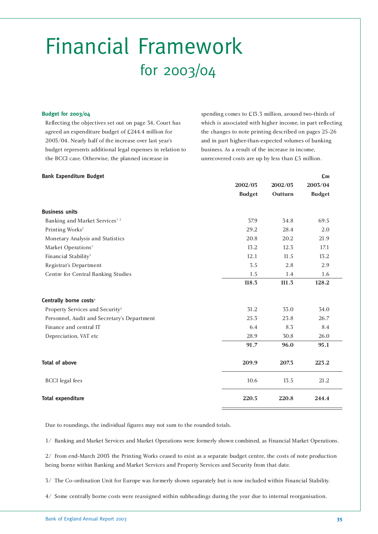### Financial Framework for 2003/04

### **Budget for 2003/04**

Reflecting the objectives set out on page 34, Court has agreed an expenditure budget of £244.4 million for 2003/04. Nearly half of the increase over last year's budget represents additional legal expenses in relation to the BCCI case. Otherwise, the planned increase in

spending comes to £13.3 million, around two-thirds of which is associated with higher income, in part reflecting the changes to note printing described on pages 25-26 and in part higher-than-expected volumes of banking business. As a result of the increase in income, unrecovered costs are up by less than £5 million.

| <b>Bank Expenditure Budget</b>              |               |         | £m            |  |
|---------------------------------------------|---------------|---------|---------------|--|
|                                             | 2002/03       | 2002/03 | 2003/04       |  |
|                                             | <b>Budget</b> | Outturn | <b>Budget</b> |  |
| <b>Business units</b>                       |               |         |               |  |
| Banking and Market Services <sup>1,2</sup>  | 37.9          | 34.8    | 69.5          |  |
| Printing Works <sup>2</sup>                 | 29.2          | 28.4    | 2.0           |  |
| Monetary Analysis and Statistics            | 20.8          | 20.2    | 21.9          |  |
| Market Operations <sup>1</sup>              | 13.2          | 12.3    | 17.1          |  |
| Financial Stability <sup>3</sup>            | 12.1          | 11.5    | 13.2          |  |
| Registrar's Department                      | 3.5           | 2.8     | 2.9           |  |
| Centre for Central Banking Studies          | 1.5           | 1.4     | 1.6           |  |
|                                             | 118.3         | 111.3   | 128.2         |  |
| Centrally borne costs <sup>4</sup>          |               |         |               |  |
| Property Services and Security <sup>2</sup> | 31.2          | 33.0    | 34.0          |  |
| Personnel, Audit and Secretary's Department | 25.3          | 23.8    | 26.7          |  |
| Finance and central IT                      | 6.4           | 8.3     | 8.4           |  |
| Depreciation, VAT etc                       | 28.9          | 30.8    | 26.0          |  |
|                                             | 91.7          | 96.0    | 95.1          |  |
| <b>Total of above</b>                       | 209.9         | 207.3   | 223.2         |  |
| <b>BCCI</b> legal fees                      | 10.6          | 13.5    | 21.2          |  |
| <b>Total expenditure</b>                    | 220.5         | 220.8   | 244.4         |  |

Due to roundings, the individual figures may not sum to the rounded totals.

1/ Banking and Market Services and Market Operations were formerly shown combined, as Financial Market Operations.

2/ From end-March 2003 the Printing Works ceased to exist as a separate budget centre, the costs of note production being borne within Banking and Market Services and Property Services and Security from that date.

3/ The Co-ordination Unit for Europe was formerly shown separately but is now included within Financial Stability.

4/ Some centrally borne costs were reassigned within subheadings during the year due to internal reorganisation.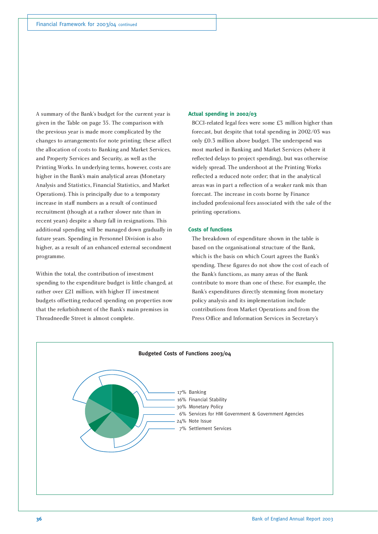A summary of the Bank's budget for the current year is given in the Table on page 35. The comparison with the previous year is made more complicated by the changes to arrangements for note printing; these affect the allocation of costs to Banking and Market Services, and Property Services and Security, as well as the Printing Works. In underlying terms, however, costs are higher in the Bank's main analytical areas (Monetary Analysis and Statistics, Financial Statistics, and Market Operations). This is principally due to a temporary increase in staff numbers as a result of continued recruitment (though at a rather slower rate than in recent years) despite a sharp fall in resignations. This additional spending will be managed down gradually in future years. Spending in Personnel Division is also higher, as a result of an enhanced external secondment programme.

Within the total, the contribution of investment spending to the expenditure budget is little changed, at rather over £21 million, with higher IT investment budgets offsetting reduced spending on properties now that the refurbishment of the Bank's main premises in Threadneedle Street is almost complete.

### **Actual spending in 2002/03**

BCCI-related legal fees were some £3 million higher than forecast, but despite that total spending in 2002/03 was only £0.3 million above budget. The underspend was most marked in Banking and Market Services (where it reflected delays to project spending), but was otherwise widely spread. The undershoot at the Printing Works reflected a reduced note order; that in the analytical areas was in part a reflection of a weaker rank mix than forecast. The increase in costs borne by Finance included professional fees associated with the sale of the printing operations.

### **Costs of functions**

The breakdown of expenditure shown in the table is based on the organisational structure of the Bank, which is the basis on which Court agrees the Bank's spending. These figures do not show the cost of each of the Bank's functions, as many areas of the Bank contribute to more than one of these. For example, the Bank's expenditures directly stemming from monetary policy analysis and its implementation include contributions from Market Operations and from the Press Office and Information Services in Secretary's

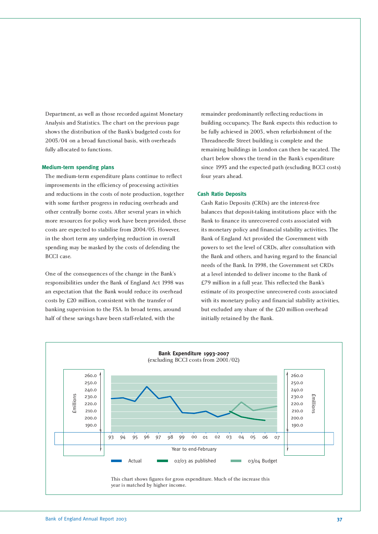Department, as well as those recorded against Monetary Analysis and Statistics. The chart on the previous page shows the distribution of the Bank's budgeted costs for 2003/04 on a broad functional basis, with overheads fully allocated to functions.

### **Medium-term spending plans**

The medium-term expenditure plans continue to reflect improvements in the efficiency of processing activities and reductions in the costs of note production, together with some further progress in reducing overheads and other centrally borne costs. After several years in which more resources for policy work have been provided, these costs are expected to stabilise from 2004/05. However, in the short term any underlying reduction in overall spending may be masked by the costs of defending the BCCI case.

One of the consequences of the change in the Bank's responsibilities under the Bank of England Act 1998 was an expectation that the Bank would reduce its overhead costs by £20 million, consistent with the transfer of banking supervision to the FSA. In broad terms, around half of these savings have been staff-related, with the

remainder predominantly reflecting reductions in building occupancy. The Bank expects this reduction to be fully achieved in 2003, when refurbishment of the Threadneedle Street building is complete and the remaining buildings in London can then be vacated. The chart below shows the trend in the Bank's expenditure since 1993 and the expected path (excluding BCCI costs) four years ahead.

### **Cash Ratio Deposits**

Cash Ratio Deposits (CRDs) are the interest-free balances that deposit-taking institutions place with the Bank to finance its unrecovered costs associated with its monetary policy and financial stability activities. The Bank of England Act provided the Government with powers to set the level of CRDs, after consultation with the Bank and others, and having regard to the financial needs of the Bank. In 1998, the Government set CRDs at a level intended to deliver income to the Bank of £79 million in a full year. This reflected the Bank's estimate of its prospective unrecovered costs associated with its monetary policy and financial stability activities, but excluded any share of the £20 million overhead initially retained by the Bank.

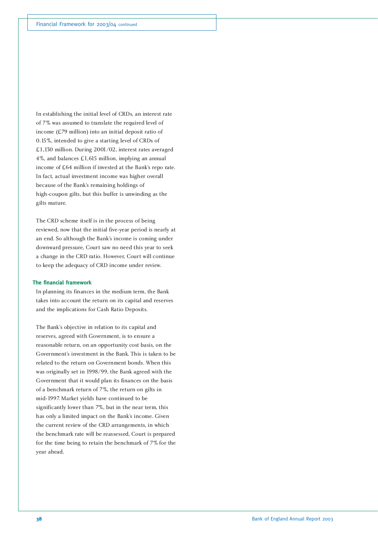In establishing the initial level of CRDs, an interest rate of 7% was assumed to translate the required level of income (£79 million) into an initial deposit ratio of 0.15%, intended to give a starting level of CRDs of £1,130 million. During 2001/02, interest rates averaged 4%, and balances £1,615 million, implying an annual income of £64 million if invested at the Bank's repo rate. In fact, actual investment income was higher overall because of the Bank's remaining holdings of high-coupon gilts, but this buffer is unwinding as the gilts mature.

The CRD scheme itself is in the process of being reviewed, now that the initial five-year period is nearly at an end. So although the Bank's income is coming under downward pressure, Court saw no need this year to seek a change in the CRD ratio. However, Court will continue to keep the adequacy of CRD income under review.

### **The financial framework**

In planning its finances in the medium term, the Bank takes into account the return on its capital and reserves and the implications for Cash Ratio Deposits.

The Bank's objective in relation to its capital and reserves, agreed with Government, is to ensure a reasonable return, on an opportunity cost basis, on the Government's investment in the Bank. This is taken to be related to the return on Government bonds. When this was originally set in 1998/99, the Bank agreed with the Government that it would plan its finances on the basis of a benchmark return of 7%, the return on gilts in mid-1997. Market yields have continued to be significantly lower than 7%, but in the near term, this has only a limited impact on the Bank's income. Given the current review of the CRD arrangements, in which the benchmark rate will be reassessed, Court is prepared for the time being to retain the benchmark of 7% for the year ahead.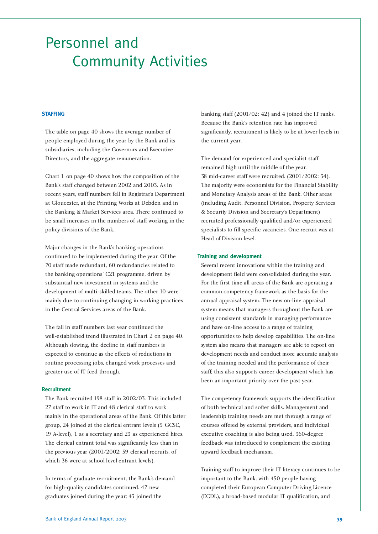### Personnel and Community Activities

### **STAFFING**

The table on page 40 shows the average number of people employed during the year by the Bank and its subsidiaries, including the Governors and Executive Directors, and the aggregate remuneration.

Chart 1 on page 40 shows how the composition of the Bank's staff changed between 2002 and 2003. As in recent years, staff numbers fell in Registrar's Department at Gloucester, at the Printing Works at Debden and in the Banking & Market Services area. There continued to be small increases in the numbers of staff working in the policy divisions of the Bank.

Major changes in the Bank's banking operations continued to be implemented during the year. Of the 70 staff made redundant, 60 redundancies related to the banking operations' C21 programme, driven by substantial new investment in systems and the development of multi-skilled teams. The other 10 were mainly due to continuing changing in working practices in the Central Services areas of the Bank.

The fall in staff numbers last year continued the well-established trend illustrated in Chart 2 on page 40. Although slowing, the decline in staff numbers is expected to continue as the effects of reductions in routine processing jobs, changed work processes and greater use of IT feed through.

### **Recruitment**

The Bank recruited 198 staff in 2002/03. This included 27 staff to work in IT and 48 clerical staff to work mainly in the operational areas of the Bank. Of this latter group, 24 joined at the clerical entrant levels (5 GCSE, 19 A-level), 1 as a secretary and 23 as experienced hires. The clerical entrant total was significantly less than in the previous year (2001/2002: 59 clerical recruits, of which 36 were at school level entrant levels).

In terms of graduate recruitment, the Bank's demand for high-quality candidates continued. 47 new graduates joined during the year; 43 joined the

banking staff (2001/02: 42) and 4 joined the IT ranks. Because the Bank's retention rate has improved significantly, recruitment is likely to be at lower levels in the current year.

The demand for experienced and specialist staff remained high until the middle of the year. 38 mid-career staff were recruited. (2001/2002: 34). The majority were economists for the Financial Stability and Monetary Analysis areas of the Bank. Other areas (including Audit, Personnel Division, Property Services & Security Division and Secretary's Department) recruited professionally qualified and/or experienced specialists to fill specific vacancies. One recruit was at Head of Division level.

### **Training and development**

Several recent innovations within the training and development field were consolidated during the year. For the first time all areas of the Bank are operating a common competency framework as the basis for the annual appraisal system. The new on-line appraisal system means that managers throughout the Bank are using consistent standards in managing performance and have on-line access to a range of training opportunities to help develop capabilities. The on-line system also means that managers are able to report on development needs and conduct more accurate analysis of the training needed and the performance of their staff; this also supports career development which has been an important priority over the past year.

The competency framework supports the identification of both technical and softer skills. Management and leadership training needs are met through a range of courses offered by external providers, and individual executive coaching is also being used. 360-degree feedback was introduced to complement the existing upward feedback mechanism.

Training staff to improve their IT literacy continues to be important to the Bank, with 450 people having completed their European Computer Driving Licence (ECDL), a broad-based modular IT qualification, and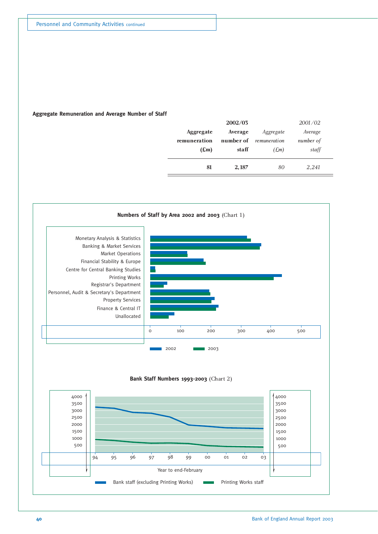### **Aggregate Remuneration and Average Number of Staff**

|               | 2002/03   |              | 2001/02   |
|---------------|-----------|--------------|-----------|
| Aggregate     | Average   | Aggregate    | Average   |
| remuneration  | number of | remuneration | number of |
| $(\text{Em})$ | staff     | E(m)         | staff     |
|               |           |              |           |
| 81            | 2,187     | 80           | 2,241     |
|               |           |              |           |

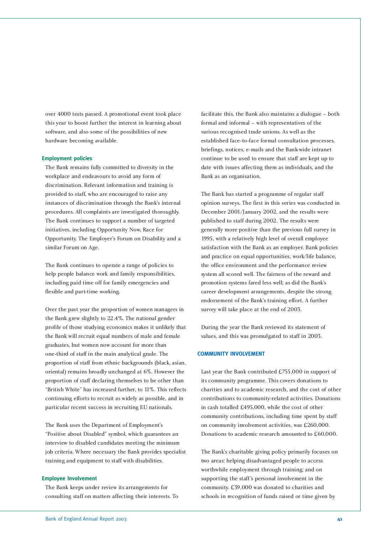over 4000 tests passed. A promotional event took place this year to boost further the interest in learning about software, and also some of the possibilities of new hardware becoming available.

### **Employment policies**

The Bank remains fully committed to diversity in the workplace and endeavours to avoid any form of discrimination. Relevant information and training is provided to staff, who are encouraged to raise any instances of discrimination through the Bank's internal procedures. All complaints are investigated thoroughly. The Bank continues to support a number of targeted initiatives, including Opportunity Now, Race for Opportunity, The Employer's Forum on Disability and a similar Forum on Age.

The Bank continues to operate a range of policies to help people balance work and family responsibilities, including paid time off for family emergencies and flexible and part-time working.

Over the past year the proportion of women managers in the Bank grew slightly to 22.4%. The national gender profile of those studying economics makes it unlikely that the Bank will recruit equal numbers of male and female graduates, but women now account for more than one-third of staff in the main analytical grade. The proportion of staff from ethnic backgrounds (black, asian, oriental) remains broadly unchanged at 6%. However the proportion of staff declaring themselves to be other than "British White" has increased further, to 11%. This reflects continuing efforts to recruit as widely as possible, and in particular recent success in recruiting EU nationals.

The Bank uses the Department of Employment's "Positive about Disabled" symbol, which guarantees an interview to disabled candidates meeting the minimum job criteria. Where necessary the Bank provides specialist training and equipment to staff with disabilities.

### **Employee Involvement**

The Bank keeps under review its arrangements for consulting staff on matters affecting their interests. To facilitate this, the Bank also maintains a dialogue – both formal and informal – with representatives of the various recognised trade unions. As well as the established face-to-face formal consultation processes, briefings, notices, e-mails and the Bank-wide intranet continue to be used to ensure that staff are kept up to date with issues affecting them as individuals, and the Bank as an organisation.

The Bank has started a programme of regular staff opinion surveys. The first in this series was conducted in December 2001/January 2002, and the results were published to staff during 2002. The results were generally more positive than the previous full survey in 1995, with a relatively high level of overall employee satisfaction with the Bank as an employer. Bank policies and practice on equal opportunities, work/life balance, the office environment and the performance review system all scored well. The fairness of the reward and promotion systems fared less well; as did the Bank's career development arrangements, despite the strong endorsement of the Bank's training effort. A further survey will take place at the end of 2003.

During the year the Bank reviewed its statement of values, and this was promulgated to staff in 2003.

### **COMMUNITY INVOLVEMENT**

Last year the Bank contributed £755,000 in support of its community programme. This covers donations to charities and to academic research, and the cost of other contributions to community-related activities. Donations in cash totalled £495,000, while the cost of other community contributions, including time spent by staff on community involvement activities, was £260,000. Donations to academic research amounted to £60,000.

The Bank's charitable giving policy primarily focuses on two areas: helping disadvantaged people to access worthwhile employment through training; and on supporting the staff's personal involvement in the community. £39,000 was donated to charities and schools in recognition of funds raised or time given by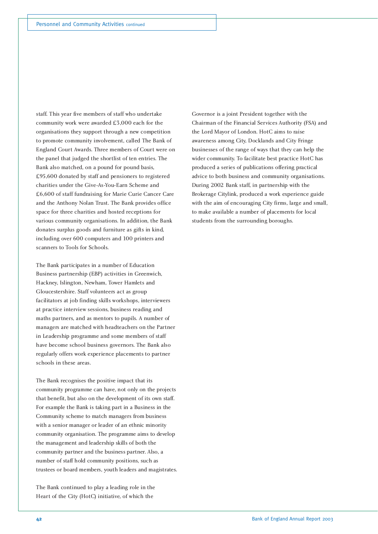staff. This year five members of staff who undertake community work were awarded £3,000 each for the organisations they support through a new competition to promote community involvement, called The Bank of England Court Awards. Three members of Court were on the panel that judged the shortlist of ten entries. The Bank also matched, on a pound for pound basis, £95,600 donated by staff and pensioners to registered charities under the Give-As-You-Earn Scheme and £6,600 of staff fundraising for Marie Curie Cancer Care and the Anthony Nolan Trust. The Bank provides office space for three charities and hosted receptions for various community organisations. In addition, the Bank donates surplus goods and furniture as gifts in kind, including over 600 computers and 100 printers and scanners to Tools for Schools.

The Bank participates in a number of Education Business partnership (EBP) activities in Greenwich, Hackney, Islington, Newham, Tower Hamlets and Gloucestershire. Staff volunteers act as group facilitators at job finding skills workshops, interviewers at practice interview sessions, business reading and maths partners, and as mentors to pupils. A number of managers are matched with headteachers on the Partner in Leadership programme and some members of staff have become school business governors. The Bank also regularly offers work experience placements to partner schools in these areas.

The Bank recognises the positive impact that its community programme can have, not only on the projects that benefit, but also on the development of its own staff. For example the Bank is taking part in a Business in the Community scheme to match managers from business with a senior manager or leader of an ethnic minority community organisation. The programme aims to develop the management and leadership skills of both the community partner and the business partner. Also, a number of staff hold community positions, such as trustees or board members, youth leaders and magistrates.

The Bank continued to play a leading role in the Heart of the City (HotC) initiative, of which the

Governor is a joint President together with the Chairman of the Financial Services Authority (FSA) and the Lord Mayor of London. HotC aims to raise awareness among City, Docklands and City Fringe businesses of the range of ways that they can help the wider community. To facilitate best practice HotC has produced a series of publications offering practical advice to both business and community organisations. During 2002 Bank staff, in partnership with the Brokerage Citylink, produced a work experience guide with the aim of encouraging City firms, large and small, to make available a number of placements for local students from the surrounding boroughs.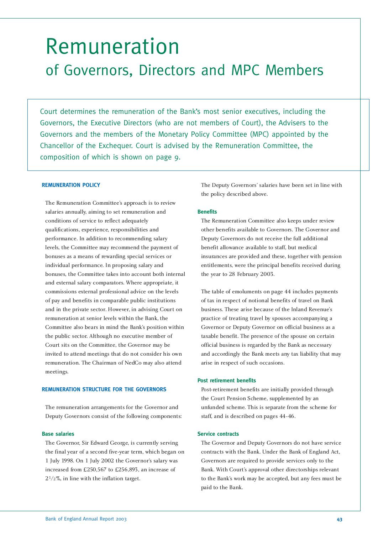### Remuneration of Governors, Directors and MPC Members

Court determines the remuneration of the Bank's most senior executives, including the Governors, the Executive Directors (who are not members of Court), the Advisers to the Governors and the members of the Monetary Policy Committee (MPC) appointed by the Chancellor of the Exchequer. Court is advised by the Remuneration Committee, the composition of which is shown on page 9.

### **REMUNERATION POLICY**

The Remuneration Committee's approach is to review salaries annually, aiming to set remuneration and conditions of service to reflect adequately qualifications, experience, responsibilities and performance. In addition to recommending salary levels, the Committee may recommend the payment of bonuses as a means of rewarding special services or individual performance. In proposing salary and bonuses, the Committee takes into account both internal and external salary comparators. Where appropriate, it commissions external professional advice on the levels of pay and benefits in comparable public institutions and in the private sector. However, in advising Court on remuneration at senior levels within the Bank, the Committee also bears in mind the Bank's position within the public sector. Although no executive member of Court sits on the Committee, the Governor may be invited to attend meetings that do not consider his own remuneration. The Chairman of NedCo may also attend meetings.

### **REMUNERATION STRUCTURE FOR THE GOVERNORS**

The remuneration arrangements for the Governor and Deputy Governors consist of the following components:

### **Base salaries**

The Governor, Sir Edward George, is currently serving the final year of a second five-year term, which began on 1 July 1998. On 1 July 2002 the Governor's salary was increased from £250,567 to £256,893, an increase of 21/2%, in line with the inflation target.

The Deputy Governors' salaries have been set in line with the policy described above.

### **Benefits**

The Remuneration Committee also keeps under review other benefits available to Governors. The Governor and Deputy Governors do not receive the full additional benefit allowance available to staff, but medical insurances are provided and these, together with pension entitlements, were the principal benefits received during the year to 28 February 2003.

The table of emoluments on page 44 includes payments of tax in respect of notional benefits of travel on Bank business. These arise because of the Inland Revenue's practice of treating travel by spouses accompanying a Governor or Deputy Governor on official business as a taxable benefit. The presence of the spouse on certain official business is regarded by the Bank as necessary and accordingly the Bank meets any tax liability that may arise in respect of such occasions.

### **Post retirement benefits**

Post-retirement benefits are initially provided through the Court Pension Scheme, supplemented by an unfunded scheme. This is separate from the scheme for staff, and is described on pages 44-46.

### **Service contracts**

The Governor and Deputy Governors do not have service contracts with the Bank. Under the Bank of England Act, Governors are required to provide services only to the Bank. With Court's approval other directorships relevant to the Bank's work may be accepted, but any fees must be paid to the Bank.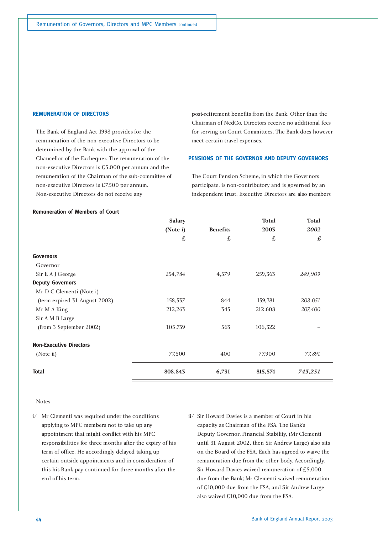### **REMUNERATION OF DIRECTORS**

The Bank of England Act 1998 provides for the remuneration of the non-executive Directors to be determined by the Bank with the approval of the Chancellor of the Exchequer. The remuneration of the non-executive Directors is £5,000 per annum and the remuneration of the Chairman of the sub-committee of non-executive Directors is £7,500 per annum. Non-executive Directors do not receive any

post-retirement benefits from the Bank. Other than the Chairman of NedCo, Directors receive no additional fees for serving on Court Committees. The Bank does however meet certain travel expenses.

### **PENSIONS OF THE GOVERNOR AND DEPUTY GOVERNORS**

The Court Pension Scheme, in which the Governors participate, is non-contributory and is governed by an independent trust. Executive Directors are also members

|                                | <b>Salary</b> |                 | <b>Total</b> | <b>Total</b> |
|--------------------------------|---------------|-----------------|--------------|--------------|
|                                | (Note i)      | <b>Benefits</b> | 2003         | 2002         |
|                                | £             | £               | £            | £            |
| <b>Governors</b>               |               |                 |              |              |
| Governor                       |               |                 |              |              |
| Sir E A J George               | 254,784       | 4,579           | 259,363      | 249,909      |
| <b>Deputy Governors</b>        |               |                 |              |              |
| Mr D C Clementi (Note i)       |               |                 |              |              |
| (term expired 31 August 2002)  | 158,537       | 844             | 159,381      | 208,051      |
| Mr M A King                    | 212,263       | 345             | 212,608      | 207,400      |
| Sir A M B Large                |               |                 |              |              |
| (from 3 September 2002)        | 105,759       | 563             | 106,322      |              |
| <b>Non-Executive Directors</b> |               |                 |              |              |
| (Note ii)                      | 77,500        | 400             | 77,900       | 77,891       |
| <b>Total</b>                   | 808,843       | 6,731           | 815,574      | 743,251      |

#### **Remuneration of Members of Court**

### Notes

- i/ Mr Clementi was required under the conditions applying to MPC members not to take up any appointment that might conflict with his MPC responsibilities for three months after the expiry of his term of office. He accordingly delayed taking up certain outside appointments and in consideration of this his Bank pay continued for three months after the end of his term.
- ii/ Sir Howard Davies is a member of Court in his capacity as Chairman of the FSA. The Bank's Deputy Governor, Financial Stability, (Mr Clementi until 31 August 2002, then Sir Andrew Large) also sits on the Board of the FSA. Each has agreed to waive the remuneration due from the other body. Accordingly, Sir Howard Davies waived remuneration of £5,000 due from the Bank; Mr Clementi waived remuneration of £10,000 due from the FSA, and Sir Andrew Large also waived £10,000 due from the FSA.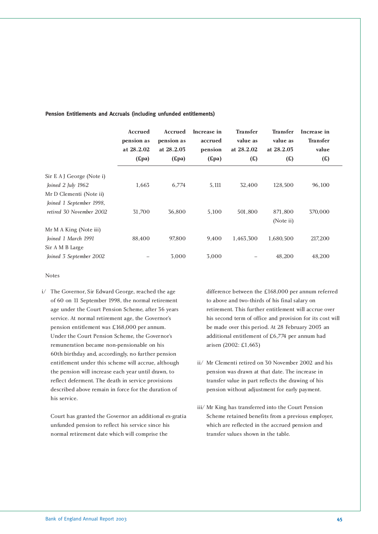|                                                                                                        | Accrued<br>pension as<br>at 28.2.02<br>(Epa) | <b>Accrued</b><br>pension as<br>at 28.2.03<br>(Epa) | Increase in<br>accrued<br>pension<br>Epa) | <b>Transfer</b><br>value as<br>at 28.2.02<br>(E) | <b>Transfer</b><br>value as<br>at 28.2.03<br>(E) | Increase in<br><b>Transfer</b><br>value<br>(E) |  |
|--------------------------------------------------------------------------------------------------------|----------------------------------------------|-----------------------------------------------------|-------------------------------------------|--------------------------------------------------|--------------------------------------------------|------------------------------------------------|--|
| Sir E A J George (Note i)<br>Joined 2 July 1962<br>Mr D Clementi (Note ii)<br>Joined 1 September 1998, | 1,663                                        | 6,774                                               | 5,111                                     | 32,400                                           | 128,500                                          | 96,100                                         |  |
| retired 30 November 2002                                                                               | 31,700                                       | 36,800                                              | 5,100                                     | 501,800                                          | 871,800<br>(Note ii)                             | 370,000                                        |  |
| Mr M A King (Note iii)<br>Joined 1 March 1991<br>Sir A M B Large                                       | 88,400                                       | 97,800                                              | 9.400                                     | 1,463,300                                        | 1,680,500                                        | 217,200                                        |  |
| Joined 3 September 2002                                                                                |                                              | 3,000                                               | 3,000                                     |                                                  | 48,200                                           | 48,200                                         |  |

### **Pension Entitlements and Accruals (including unfunded entitlements)**

Notes

i/ The Governor, Sir Edward George, reached the age of 60 on 11 September 1998, the normal retirement age under the Court Pension Scheme, after 36 years service. At normal retirement age, the Governor's pension entitlement was £168,000 per annum. Under the Court Pension Scheme, the Governor's remuneration became non-pensionable on his 60th birthday and, accordingly, no further pension entitlement under this scheme will accrue, although the pension will increase each year until drawn, to reflect deferment. The death in service provisions described above remain in force for the duration of his service.

Court has granted the Governor an additional ex-gratia unfunded pension to reflect his service since his normal retirement date which will comprise the

difference between the £168,000 per annum referred to above and two-thirds of his final salary on retirement. This further entitlement will accrue over his second term of office and provision for its cost will be made over this period. At 28 February 2003 an additional entitlement of £6,774 per annum had arisen (2002: £1,663)

- ii/ Mr Clementi retired on 30 November 2002 and his pension was drawn at that date. The increase in transfer value in part reflects the drawing of his pension without adjustment for early payment.
- iii/ Mr King has transferred into the Court Pension Scheme retained benefits from a previous employer, which are reflected in the accrued pension and transfer values shown in the table.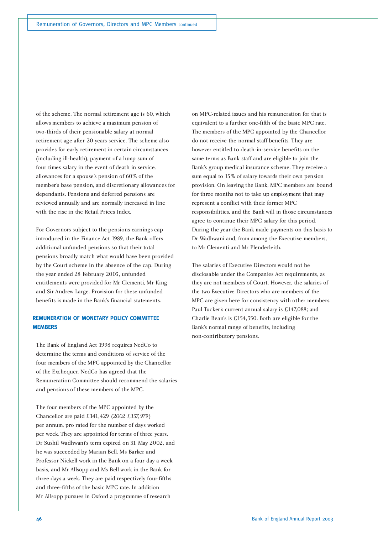of the scheme. The normal retirement age is 60, which allows members to achieve a maximum pension of two-thirds of their pensionable salary at normal retirement age after 20 years service. The scheme also provides for early retirement in certain circumstances (including ill-health), payment of a lump sum of four times salary in the event of death in service, allowances for a spouse's pension of 60% of the member's base pension, and discretionary allowances for dependants. Pensions and deferred pensions are reviewed annually and are normally increased in line with the rise in the Retail Prices Index.

For Governors subject to the pensions earnings cap introduced in the Finance Act 1989, the Bank offers additional unfunded pensions so that their total pensions broadly match what would have been provided by the Court scheme in the absence of the cap. During the year ended 28 February 2003, unfunded entitlements were provided for Mr Clementi, Mr King and Sir Andrew Large. Provision for these unfunded benefits is made in the Bank's financial statements.

### **REMUNERATION OF MONETARY POLICY COMMITTEE MEMBERS**

The Bank of England Act 1998 requires NedCo to determine the terms and conditions of service of the four members of the MPC appointed by the Chancellor of the Exchequer. NedCo has agreed that the Remuneration Committee should recommend the salaries and pensions of these members of the MPC.

The four members of the MPC appointed by the Chancellor are paid £141,429 (*2002 £137,979*) per annum, pro rated for the number of days worked per week. They are appointed for terms of three years. Dr Sushil Wadhwani's term expired on 31 May 2002, and he was succeeded by Marian Bell. Ms Barker and Professor Nickell work in the Bank on a four day a week basis, and Mr Allsopp and Ms Bell work in the Bank for three days a week. They are paid respectively four-fifths and three-fifths of the basic MPC rate. In addition Mr Allsopp pursues in Oxford a programme of research

on MPC-related issues and his remuneration for that is equivalent to a further one-fifth of the basic MPC rate. The members of the MPC appointed by the Chancellor do not receive the normal staff benefits. They are however entitled to death-in-service benefits on the same terms as Bank staff and are eligible to join the Bank's group medical insurance scheme. They receive a sum equal to 15% of salary towards their own pension provision. On leaving the Bank, MPC members are bound for three months not to take up employment that may represent a conflict with their former MPC responsibilities, and the Bank will in those circumstances agree to continue their MPC salary for this period. During the year the Bank made payments on this basis to Dr Wadhwani and, from among the Executive members, to Mr Clementi and Mr Plenderleith.

The salaries of Executive Directors would not be disclosable under the Companies Act requirements, as they are not members of Court. However, the salaries of the two Executive Directors who are members of the MPC are given here for consistency with other members. Paul Tucker's current annual salary is £147,088; and Charlie Bean's is £154,350. Both are eligible for the Bank's normal range of benefits, including non-contributory pensions.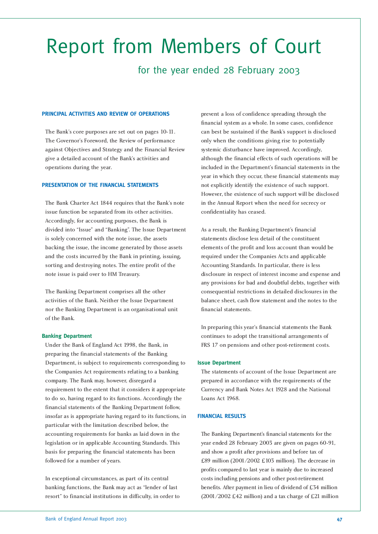# Report from Members of Court

### for the year ended 28 February 2003

### **PRINCIPAL ACTIVITIES AND REVIEW OF OPERATIONS**

The Bank's core purposes are set out on pages 10-11. The Governor's Foreword, the Review of performance against Objectives and Strategy and the Financial Review give a detailed account of the Bank's activities and operations during the year.

### **PRESENTATION OF THE FINANCIAL STATEMENTS**

The Bank Charter Act 1844 requires that the Bank's note issue function be separated from its other activities. Accordingly, for accounting purposes, the Bank is divided into "Issue" and "Banking". The Issue Department is solely concerned with the note issue, the assets backing the issue, the income generated by those assets and the costs incurred by the Bank in printing, issuing, sorting and destroying notes. The entire profit of the note issue is paid over to HM Treasury.

The Banking Department comprises all the other activities of the Bank. Neither the Issue Department nor the Banking Department is an organisational unit of the Bank.

### **Banking Department**

Under the Bank of England Act 1998, the Bank, in preparing the financial statements of the Banking Department, is subject to requirements corresponding to the Companies Act requirements relating to a banking company. The Bank may, however, disregard a requirement to the extent that it considers it appropriate to do so, having regard to its functions. Accordingly the financial statements of the Banking Department follow, insofar as is appropriate having regard to its functions, in particular with the limitation described below, the accounting requirements for banks as laid down in the legislation or in applicable Accounting Standards. This basis for preparing the financial statements has been followed for a number of years.

In exceptional circumstances, as part of its central banking functions, the Bank may act as "lender of last resort" to financial institutions in difficulty, in order to

prevent a loss of confidence spreading through the financial system as a whole. In some cases, confidence can best be sustained if the Bank's support is disclosed only when the conditions giving rise to potentially systemic disturbance have improved. Accordingly, although the financial effects of such operations will be included in the Department's financial statements in the year in which they occur, these financial statements may not explicitly identify the existence of such support. However, the existence of such support will be disclosed in the Annual Report when the need for secrecy or confidentiality has ceased.

As a result, the Banking Department's financial statements disclose less detail of the constituent elements of the profit and loss account than would be required under the Companies Acts and applicable Accounting Standards. In particular, there is less disclosure in respect of interest income and expense and any provisions for bad and doubtful debts, together with consequential restrictions in detailed disclosures in the balance sheet, cash flow statement and the notes to the financial statements.

In preparing this year's financial statements the Bank continues to adopt the transitional arrangements of FRS 17 on pensions and other post-retirement costs.

### **Issue Department**

The statements of account of the Issue Department are prepared in accordance with the requirements of the Currency and Bank Notes Act 1928 and the National Loans Act 1968.

### **FINANCIAL RESULTS**

The Banking Department's financial statements for the year ended 28 February 2003 are given on pages 60-91, and show a profit after provisions and before tax of £89 million (2001/2002 £103 million). The decrease in profits compared to last year is mainly due to increased costs including pensions and other post-retirement benefits. After payment in lieu of dividend of £34 million (2001/2002 £42 million) and a tax charge of £21 million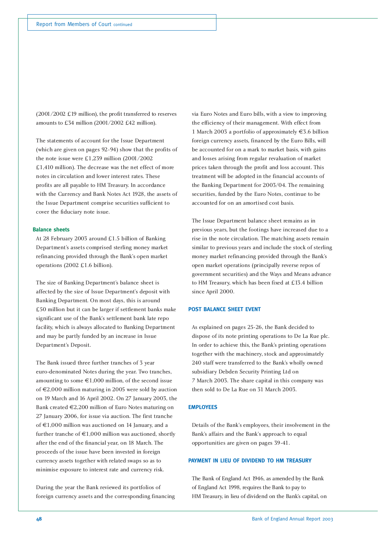(2001/2002 £19 million), the profit transferred to reserves amounts to £34 million (2001/2002 £42 million).

The statements of account for the Issue Department (which are given on pages 92-94) show that the profits of the note issue were £1,239 million (2001/2002 £1,410 million). The decrease was the net effect of more notes in circulation and lower interest rates. These profits are all payable to HM Treasury. In accordance with the Currency and Bank Notes Act 1928, the assets of the Issue Department comprise securities sufficient to cover the fiduciary note issue.

### **Balance sheets**

At 28 February 2003 around £1.5 billion of Banking Department's assets comprised sterling money market refinancing provided through the Bank's open market operations (2002 £1.6 billion).

The size of Banking Department's balance sheet is affected by the size of Issue Department's deposit with Banking Department. On most days, this is around £50 million but it can be larger if settlement banks make significant use of the Bank's settlement bank late repo facility, which is always allocated to Banking Department and may be partly funded by an increase in Issue Department's Deposit.

The Bank issued three further tranches of 3 year euro-denominated Notes during the year. Two tranches, amounting to some  $\epsilon$ 1,000 million, of the second issue of €2,000 million maturing in 2005 were sold by auction on 19 March and 16 April 2002. On 27 January 2003, the Bank created €2,200 million of Euro Notes maturing on 27 January 2006, for issue via auction. The first tranche of €1,000 million was auctioned on 14 January, and a further tranche of  $\text{€1,000}$  million was auctioned, shortly after the end of the financial year, on 18 March. The proceeds of the issue have been invested in foreign currency assets together with related swaps so as to minimise exposure to interest rate and currency risk.

During the year the Bank reviewed its portfolios of foreign currency assets and the corresponding financing

via Euro Notes and Euro bills, with a view to improving the efficiency of their management. With effect from 1 March 2003 a portfolio of approximately €3.6 billion foreign currency assets, financed by the Euro Bills, will be accounted for on a mark to market basis, with gains and losses arising from regular revaluation of market prices taken through the profit and loss account. This treatment will be adopted in the financial accounts of the Banking Department for 2003/04. The remaining securities, funded by the Euro Notes, continue to be accounted for on an amortised cost basis.

The Issue Department balance sheet remains as in previous years, but the footings have increased due to a rise in the note circulation. The matching assets remain similar to previous years and include the stock of sterling money market refinancing provided through the Bank's open market operations (principally reverse repos of government securities) and the Ways and Means advance to HM Treasury, which has been fixed at £13.4 billion since April 2000.

### **POST BALANCE SHEET EVENT**

As explained on pages 25-26, the Bank decided to dispose of its note printing operations to De La Rue plc. In order to achieve this, the Bank's printing operations together with the machinery, stock and approximately 240 staff were transferred to the Bank's wholly owned subsidiary Debden Security Printing Ltd on 7 March 2003. The share capital in this company was then sold to De La Rue on 31 March 2003.

### **EMPLOYEES**

Details of the Bank's employees, their involvement in the Bank's affairs and the Bank's approach to equal opportunities are given on pages 39-41.

### **PAYMENT IN LIEU OF DIVIDEND TO HM TREASURY**

The Bank of England Act 1946, as amended by the Bank of England Act 1998, requires the Bank to pay to HM Treasury, in lieu of dividend on the Bank's capital, on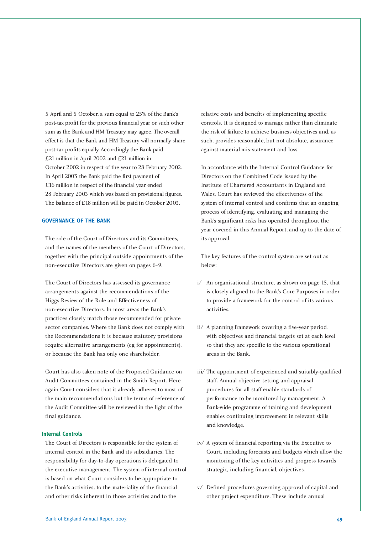5 April and 5 October, a sum equal to 25% of the Bank's post-tax profit for the previous financial year or such other sum as the Bank and HM Treasury may agree. The overall effect is that the Bank and HM Treasury will normally share post-tax profits equally. Accordingly the Bank paid £21 million in April 2002 and £21 million in October 2002 in respect of the year to 28 February 2002. In April 2003 the Bank paid the first payment of £16 million in respect of the financial year ended 28 February 2003 which was based on provisional figures. The balance of £18 million will be paid in October 2003.

### **GOVERNANCE OF THE BANK**

The role of the Court of Directors and its Committees, and the names of the members of the Court of Directors, together with the principal outside appointments of the non-executive Directors are given on pages 6-9.

The Court of Directors has assessed its governance arrangements against the recommendations of the Higgs Review of the Role and Effectiveness of non-executive Directors. In most areas the Bank's practices closely match those recommended for private sector companies. Where the Bank does not comply with the Recommendations it is because statutory provisions require alternative arrangements (eg for appointments), or because the Bank has only one shareholder.

Court has also taken note of the Proposed Guidance on Audit Committees contained in the Smith Report. Here again Court considers that it already adheres to most of the main recommendations but the terms of reference of the Audit Committee will be reviewed in the light of the final guidance.

### **Internal Controls**

The Court of Directors is responsible for the system of internal control in the Bank and its subsidiaries. The responsibility for day-to-day operations is delegated to the executive management. The system of internal control is based on what Court considers to be appropriate to the Bank's activities, to the materiality of the financial and other risks inherent in those activities and to the

relative costs and benefits of implementing specific controls. It is designed to manage rather than eliminate the risk of failure to achieve business objectives and, as such, provides reasonable, but not absolute, assurance against material mis-statement and loss.

In accordance with the Internal Control Guidance for Directors on the Combined Code issued by the Institute of Chartered Accountants in England and Wales, Court has reviewed the effectiveness of the system of internal control and confirms that an ongoing process of identifying, evaluating and managing the Bank's significant risks has operated throughout the year covered in this Annual Report, and up to the date of its approval.

The key features of the control system are set out as below:

- i/ An organisational structure, as shown on page 15, that is closely aligned to the Bank's Core Purposes in order to provide a framework for the control of its various activities.
- ii/ A planning framework covering a five-year period, with objectives and financial targets set at each level so that they are specific to the various operational areas in the Bank.
- iii/ The appointment of experienced and suitably-qualified staff. Annual objective setting and appraisal procedures for all staff enable standards of performance to be monitored by management. A Bank-wide programme of training and development enables continuing improvement in relevant skills and knowledge.
- iv/ A system of financial reporting via the Executive to Court, including forecasts and budgets which allow the monitoring of the key activities and progress towards strategic, including financial, objectives.
- v/ Defined procedures governing approval of capital and other project expenditure. These include annual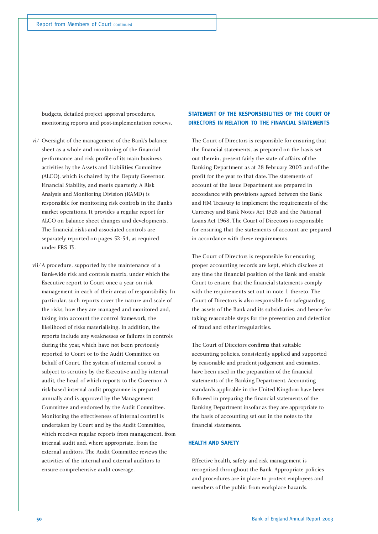budgets, detailed project approval procedures, monitoring reports and post-implementation reviews.

- vi/ Oversight of the management of the Bank's balance sheet as a whole and monitoring of the financial performance and risk profile of its main business activities by the Assets and Liabilities Committee (ALCO), which is chaired by the Deputy Governor, Financial Stability, and meets quarterly. A Risk Analysis and Monitoring Division (RAMD) is responsible for monitoring risk controls in the Bank's market operations. It provides a regular report for ALCO on balance sheet changes and developments. The financial risks and associated controls are separately reported on pages 52-54, as required under FRS 13.
- vii/A procedure, supported by the maintenance of a Bank-wide risk and controls matrix, under which the Executive report to Court once a year on risk management in each of their areas of responsibility. In particular, such reports cover the nature and scale of the risks, how they are managed and monitored and, taking into account the control framework, the likelihood of risks materialising. In addition, the reports include any weaknesses or failures in controls during the year, which have not been previously reported to Court or to the Audit Committee on behalf of Court. The system of internal control is subject to scrutiny by the Executive and by internal audit, the head of which reports to the Governor. A risk-based internal audit programme is prepared annually and is approved by the Management Committee and endorsed by the Audit Committee. Monitoring the effectiveness of internal control is undertaken by Court and by the Audit Committee, which receives regular reports from management, from internal audit and, where appropriate, from the external auditors. The Audit Committee reviews the activities of the internal and external auditors to ensure comprehensive audit coverage.

### **STATEMENT OF THE RESPONSIBILITIES OF THE COURT OF DIRECTORS IN RELATION TO THE FINANCIAL STATEMENTS**

The Court of Directors is responsible for ensuring that the financial statements, as prepared on the basis set out therein, present fairly the state of affairs of the Banking Department as at 28 February 2003 and of the profit for the year to that date. The statements of account of the Issue Department are prepared in accordance with provisions agreed between the Bank and HM Treasury to implement the requirements of the Currency and Bank Notes Act 1928 and the National Loans Act 1968. The Court of Directors is responsible for ensuring that the statements of account are prepared in accordance with these requirements.

The Court of Directors is responsible for ensuring proper accounting records are kept, which disclose at any time the financial position of the Bank and enable Court to ensure that the financial statements comply with the requirements set out in note 1 thereto. The Court of Directors is also responsible for safeguarding the assets of the Bank and its subsidiaries, and hence for taking reasonable steps for the prevention and detection of fraud and other irregularities.

The Court of Directors confirms that suitable accounting policies, consistently applied and supported by reasonable and prudent judgement and estimates, have been used in the preparation of the financial statements of the Banking Department. Accounting standards applicable in the United Kingdom have been followed in preparing the financial statements of the Banking Department insofar as they are appropriate to the basis of accounting set out in the notes to the financial statements.

### **HEALTH AND SAFETY**

Effective health, safety and risk management is recognised throughout the Bank. Appropriate policies and procedures are in place to protect employees and members of the public from workplace hazards.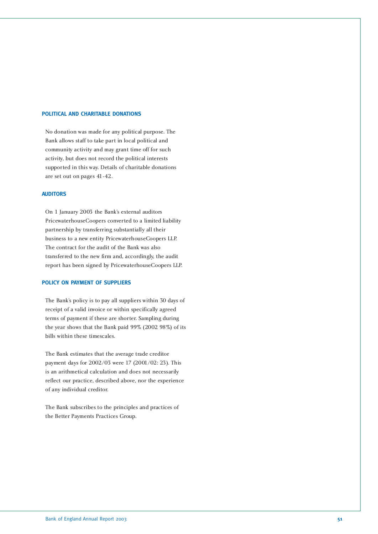### **POLITICAL AND CHARITABLE DONATIONS**

No donation was made for any political purpose. The Bank allows staff to take part in local political and community activity and may grant time off for such activity, but does not record the political interests supported in this way. Details of charitable donations are set out on pages 41-42.

### **AUDITORS**

On 1 January 2003 the Bank's external auditors PricewaterhouseCoopers converted to a limited liability partnership by transferring substantially all their business to a new entity PricewaterhouseCoopers LLP. The contract for the audit of the Bank was also transferred to the new firm and, accordingly, the audit report has been signed by PricewaterhouseCoopers LLP.

### **POLICY ON PAYMENT OF SUPPLIERS**

The Bank's policy is to pay all suppliers within 30 days of receipt of a valid invoice or within specifically agreed terms of payment if these are shorter. Sampling during the year shows that the Bank paid 99% (2002 98%) of its bills within these timescales.

The Bank estimates that the average trade creditor payment days for 2002/03 were 17 (2001/02: 23). This is an arithmetical calculation and does not necessarily reflect our practice, described above, nor the experience of any individual creditor.

The Bank subscribes to the principles and practices of the Better Payments Practices Group.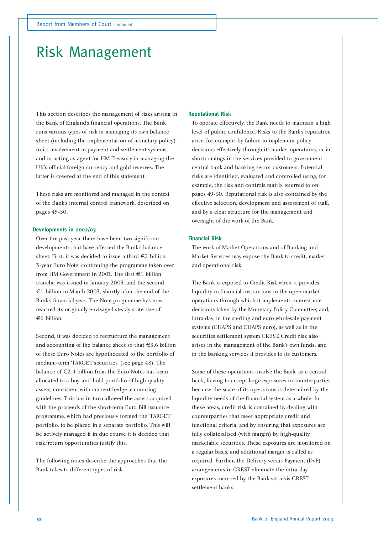### Risk Management

This section describes the management of risks arising in the Bank of England's financial operations. The Bank runs various types of risk in managing its own balance sheet (including the implementation of monetary policy); in its involvement in payment and settlement systems; and in acting as agent for HM Treasury in managing the UK's official foreign currency and gold reserves. The latter is covered at the end of this statement.

These risks are monitored and managed in the context of the Bank's internal control framework, described on pages 49-50.

### **Developments in 2002/03**

Over the past year there have been two significant developments that have affected the Bank's balance sheet. First, it was decided to issue a third €2 billion 3-year Euro Note, continuing the programme taken over from HM Government in 2001. The first €1 billion tranche was issued in January 2003, and the second €1 billion in March 2003, shortly after the end of the Bank's financial year. The Note programme has now reached its originally envisaged steady state size of €6 billion.

Second, it was decided to restructure the management and accounting of the balance sheet so that €3.6 billion of these Euro Notes are hypothecated to the portfolio of medium-term 'TARGET securities' (see page 48). The balance of €2.4 billion from the Euro Notes has been allocated to a buy-and-hold portfolio of high quality assets, consistent with current hedge accounting guidelines. This has in turn allowed the assets acquired with the proceeds of the short-term Euro Bill issuance programme, which had previously formed the 'TARGET' portfolio, to be placed in a separate portfolio. This will be actively managed if in due course it is decided that risk/return opportunities justify this.

The following notes describe the approaches that the Bank takes to different types of risk.

### **Reputational Risk**

To operate effectively, the Bank needs to maintain a high level of public confidence. Risks to the Bank's reputation arise, for example, by failure to implement policy decisions effectively through its market operations, or in shortcomings in the services provided to government, central bank and banking sector customers. Potential risks are identified, evaluated and controlled using, for example, the risk and controls matrix referred to on pages 49-50. Reputational risk is also contained by the effective selection, development and assessment of staff, and by a clear structure for the management and oversight of the work of the Bank.

### **Financial Risk**

The work of Market Operations and of Banking and Market Services may expose the Bank to credit, market and operational risk.

The Bank is exposed to Credit Risk when it provides liquidity to financial institutions in the open market operations through which it implements interest rate decisions taken by the Monetary Policy Committee; and, intra day, in the sterling and euro wholesale payment systems (CHAPS and CHAPS euro), as well as in the securities settlement system CREST. Credit risk also arises in the management of the Bank's own funds, and in the banking services it provides to its customers.

Some of these operations involve the Bank, as a central bank, having to accept large exposures to counterparties because the scale of its operations is determined by the liquidity needs of the financial system as a whole. In these areas, credit risk is contained by dealing with counterparties that meet appropriate credit and functional criteria, and by ensuring that exposures are fully collateralised (with margin) by high-quality, marketable securities. These exposures are monitored on a regular basis, and additional margin is called as required. Further, the Delivery versus Payment (DvP) arrangements in CREST eliminate the intra-day exposures incurred by the Bank vis-à-vis CREST settlement banks.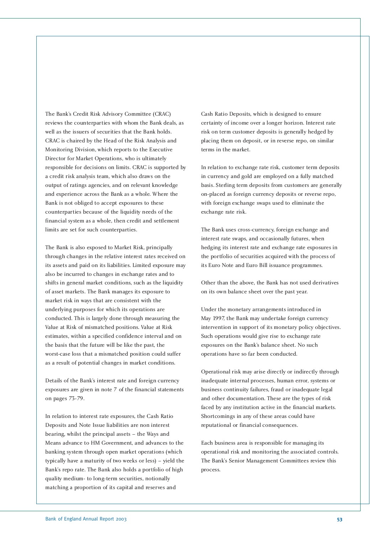The Bank's Credit Risk Advisory Committee (CRAC) reviews the counterparties with whom the Bank deals, as well as the issuers of securities that the Bank holds. CRAC is chaired by the Head of the Risk Analysis and Monitoring Division, which reports to the Executive Director for Market Operations, who is ultimately responsible for decisions on limits. CRAC is supported by a credit risk analysis team, which also draws on the output of ratings agencies, and on relevant knowledge and experience across the Bank as a whole. Where the Bank is not obliged to accept exposures to these counterparties because of the liquidity needs of the financial system as a whole, then credit and settlement limits are set for such counterparties.

The Bank is also exposed to Market Risk, principally through changes in the relative interest rates received on its assets and paid on its liabilities. Limited exposure may also be incurred to changes in exchange rates and to shifts in general market conditions, such as the liquidity of asset markets. The Bank manages its exposure to market risk in ways that are consistent with the underlying purposes for which its operations are conducted. This is largely done through measuring the Value at Risk of mismatched positions. Value at Risk estimates, within a specified confidence interval and on the basis that the future will be like the past, the worst-case loss that a mismatched position could suffer as a result of potential changes in market conditions.

Details of the Bank's interest rate and foreign currency exposures are given in note 7 of the financial statements on pages 73-79.

In relation to interest rate exposures, the Cash Ratio Deposits and Note Issue liabilities are non interest bearing, whilst the principal assets – the Ways and Means advance to HM Government, and advances to the banking system through open market operations (which typically have a maturity of two weeks or less) – yield the Bank's repo rate. The Bank also holds a portfolio of high quality medium- to long-term securities, notionally matching a proportion of its capital and reserves and

Cash Ratio Deposits, which is designed to ensure certainty of income over a longer horizon. Interest rate risk on term customer deposits is generally hedged by placing them on deposit, or in reverse repo, on similar terms in the market.

In relation to exchange rate risk, customer term deposits in currency and gold are employed on a fully matched basis. Sterling term deposits from customers are generally on-placed as foreign currency deposits or reverse repo, with foreign exchange swaps used to eliminate the exchange rate risk.

The Bank uses cross-currency, foreign exchange and interest rate swaps, and occasionally futures, when hedging its interest rate and exchange rate exposures in the portfolio of securities acquired with the process of its Euro Note and Euro Bill issuance programmes.

Other than the above, the Bank has not used derivatives on its own balance sheet over the past year.

Under the monetary arrangements introduced in May 1997, the Bank may undertake foreign currency intervention in support of its monetary policy objectives. Such operations would give rise to exchange rate exposures on the Bank's balance sheet. No such operations have so far been conducted.

Operational risk may arise directly or indirectly through inadequate internal processes, human error, systems or business continuity failures, fraud or inadequate legal and other documentation. These are the types of risk faced by any institution active in the financial markets. Shortcomings in any of these areas could have reputational or financial consequences.

Each business area is responsible for managing its operational risk and monitoring the associated controls. The Bank's Senior Management Committees review this process.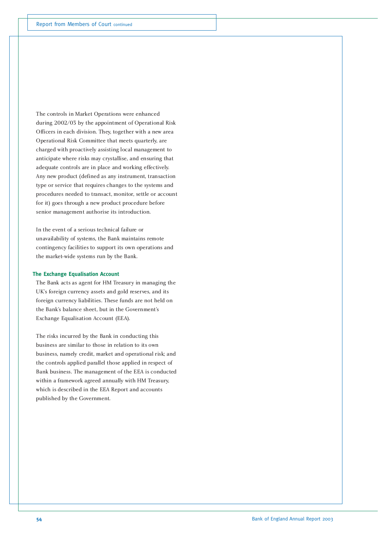The controls in Market Operations were enhanced during 2002/03 by the appointment of Operational Risk Officers in each division. They, together with a new area Operational Risk Committee that meets quarterly, are charged with proactively assisting local management to anticipate where risks may crystallise, and ensuring that adequate controls are in place and working effectively. Any new product (defined as any instrument, transaction type or service that requires changes to the systems and procedures needed to transact, monitor, settle or account for it) goes through a new product procedure before senior management authorise its introduction.

In the event of a serious technical failure or unavailability of systems, the Bank maintains remote contingency facilities to support its own operations and the market-wide systems run by the Bank.

### **The Exchange Equalisation Account**

The Bank acts as agent for HM Treasury in managing the UK's foreign currency assets and gold reserves, and its foreign currency liabilities. These funds are not held on the Bank's balance sheet, but in the Government's Exchange Equalisation Account (EEA).

The risks incurred by the Bank in conducting this business are similar to those in relation to its own business, namely credit, market and operational risk; and the controls applied parallel those applied in respect of Bank business. The management of the EEA is conducted within a framework agreed annually with HM Treasury, which is described in the EEA Report and accounts published by the Government.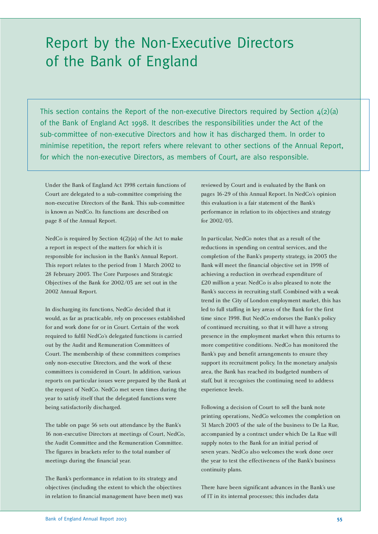### Report by the Non-Executive Directors of the Bank of England

This section contains the Report of the non-executive Directors required by Section  $4(2)(a)$ of the Bank of England Act 1998. It describes the responsibilities under the Act of the sub-committee of non-executive Directors and how it has discharged them. In order to minimise repetition, the report refers where relevant to other sections of the Annual Report, for which the non-executive Directors, as members of Court, are also responsible.

Under the Bank of England Act 1998 certain functions of Court are delegated to a sub-committee comprising the non-executive Directors of the Bank. This sub-committee is known as NedCo. Its functions are described on page 8 of the Annual Report.

NedCo is required by Section 4(2)(a) of the Act to make a report in respect of the matters for which it is responsible for inclusion in the Bank's Annual Report. This report relates to the period from 1 March 2002 to 28 February 2003. The Core Purposes and Strategic Objectives of the Bank for 2002/03 are set out in the 2002 Annual Report.

In discharging its functions, NedCo decided that it would, as far as practicable, rely on processes established for and work done for or in Court. Certain of the work required to fulfil NedCo's delegated functions is carried out by the Audit and Remuneration Committees of Court. The membership of these committees comprises only non-executive Directors, and the work of these committees is considered in Court. In addition, various reports on particular issues were prepared by the Bank at the request of NedCo. NedCo met seven times during the year to satisfy itself that the delegated functions were being satisfactorily discharged.

The table on page 56 sets out attendance by the Bank's 16 non-executive Directors at meetings of Court, NedCo, the Audit Committee and the Remuneration Committee. The figures in brackets refer to the total number of meetings during the financial year.

The Bank's performance in relation to its strategy and objectives (including the extent to which the objectives in relation to financial management have been met) was reviewed by Court and is evaluated by the Bank on pages 16-29 of this Annual Report. In NedCo's opinion this evaluation is a fair statement of the Bank's performance in relation to its objectives and strategy for 2002/03.

In particular, NedCo notes that as a result of the reductions in spending on central services, and the completion of the Bank's property strategy, in 2003 the Bank will meet the financial objective set in 1998 of achieving a reduction in overhead expenditure of £20 million a year. NedCo is also pleased to note the Bank's success in recruiting staff. Combined with a weak trend in the City of London employment market, this has led to full staffing in key areas of the Bank for the first time since 1998. But NedCo endorses the Bank's policy of continued recruiting, so that it will have a strong presence in the employment market when this returns to more competitive conditions. NedCo has monitored the Bank's pay and benefit arrangements to ensure they support its recruitment policy. In the monetary analysis area, the Bank has reached its budgeted numbers of staff, but it recognises the continuing need to address experience levels.

Following a decision of Court to sell the bank note printing operations, NedCo welcomes the completion on 31 March 2003 of the sale of the business to De La Rue, accompanied by a contract under which De La Rue will supply notes to the Bank for an initial period of seven years. NedCo also welcomes the work done over the year to test the effectiveness of the Bank's business continuity plans.

There have been significant advances in the Bank's use of IT in its internal processes; this includes data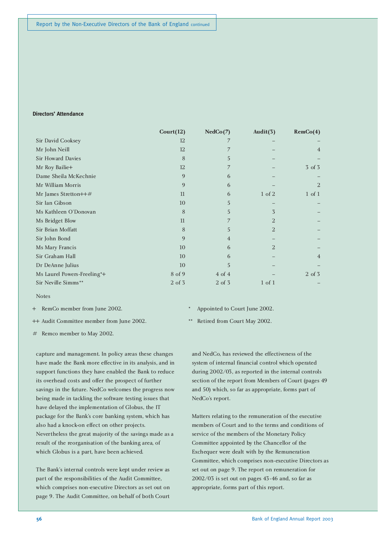### **Directors' Attendance**

|                             | Court(12)    | NedCo(7)       | Audit $(3)$ | RemCo(4)       |
|-----------------------------|--------------|----------------|-------------|----------------|
| Sir David Cooksey           | 12           | 7              |             |                |
| Mr John Neill               | 12           | 7              |             | $\overline{4}$ |
| Sir Howard Davies           | 8            | 5              |             |                |
| Mr Roy Bailie+              | 12           | 7              |             | 3 of 3         |
| Dame Sheila McKechnie       | 9            | 6              |             |                |
| Mr William Morris           | 9            | 6              |             | 2              |
| Mr James Stretton++#        | 11           | 6              | 1 of 2      | $1$ of $1$     |
| Sir Ian Gibson              | 10           | 5              |             |                |
| Ms Kathleen O'Donovan       | 8            | 5              | 3           |                |
| Ms Bridget Blow             | 11           | 7              | 2           |                |
| Sir Brian Moffatt           | 8            | 5              | 2           |                |
| Sir John Bond               | $\mathbf{Q}$ | $\overline{4}$ |             |                |
| Ms Mary Francis             | 10           | 6              | 2           |                |
| Sir Graham Hall             | 10           | 6              |             | $\overline{4}$ |
| Dr DeAnne Julius            | 10           | 5              |             |                |
| Ms Laurel Powers-Freeling*+ | 8 of 9       | $4$ of $4$     |             | 2 of 3         |
| Sir Neville Simms**         | 2 of 3       | 2 of 3         | $1$ of $1$  |                |

### Notes

- + RemCo member from June 2002.
- ++ Audit Committee member from June 2002.
- Appointed to Court June 2002.
- Retired from Court May 2002.

# Remco member to May 2002.

capture and management. In policy areas these changes have made the Bank more effective in its analysis, and in support functions they have enabled the Bank to reduce its overhead costs and offer the prospect of further savings in the future. NedCo welcomes the progress now being made in tackling the software testing issues that have delayed the implementation of Globus, the IT package for the Bank's core banking system, which has also had a knock-on effect on other projects. Nevertheless the great majority of the savings made as a result of the reorganisation of the banking area, of which Globus is a part, have been achieved.

The Bank's internal controls were kept under review as part of the responsibilities of the Audit Committee, which comprises non-executive Directors as set out on page 9. The Audit Committee, on behalf of both Court

and NedCo, has reviewed the effectiveness of the system of internal financial control which operated during 2002/03, as reported in the internal controls section of the report from Members of Court (pages 49 and 50) which, so far as appropriate, forms part of NedCo's report.

Matters relating to the remuneration of the executive members of Court and to the terms and conditions of service of the members of the Monetary Policy Committee appointed by the Chancellor of the Exchequer were dealt with by the Remuneration Committee, which comprises non-executive Directors as set out on page 9. The report on remuneration for 2002/03 is set out on pages 43-46 and, so far as appropriate, forms part of this report.